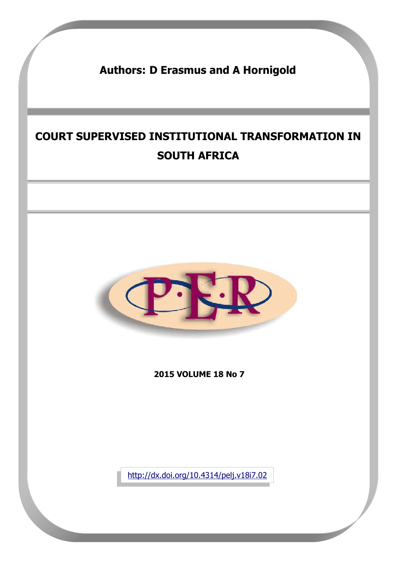**Authors: D Erasmus and A Hornigold**

# **COURT SUPERVISED INSTITUTIONAL TRANSFORMATION IN SOUTH AFRICA**



**2015 VOLUME 18 No 7**

<http://dx.doi.org/10.4314/pelj.v18i7.02>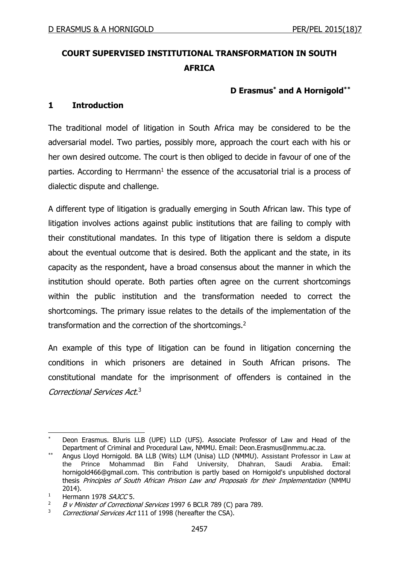# **COURT SUPERVISED INSTITUTIONAL TRANSFORMATION IN SOUTH AFRICA**

### **D Erasmus\* and A Hornigold\*\***

#### **1 Introduction**

The traditional model of litigation in South Africa may be considered to be the adversarial model. Two parties, possibly more, approach the court each with his or her own desired outcome. The court is then obliged to decide in favour of one of the parties. According to Herrmann<sup>1</sup> the essence of the accusatorial trial is a process of dialectic dispute and challenge.

A different type of litigation is gradually emerging in South African law. This type of litigation involves actions against public institutions that are failing to comply with their constitutional mandates. In this type of litigation there is seldom a dispute about the eventual outcome that is desired. Both the applicant and the state, in its capacity as the respondent, have a broad consensus about the manner in which the institution should operate. Both parties often agree on the current shortcomings within the public institution and the transformation needed to correct the shortcomings. The primary issue relates to the details of the implementation of the transformation and the correction of the shortcomings. 2

An example of this type of litigation can be found in litigation concerning the conditions in which prisoners are detained in South African prisons. The constitutional mandate for the imprisonment of offenders is contained in the Correctional Services Act. 3

Deon Erasmus. BJuris LLB (UPE) LLD (UFS). Associate Professor of Law and Head of the Department of Criminal and Procedural Law, NMMU. Email: Deon.Erasmus@nmmu.ac.za.

Angus Lloyd Hornigold. BA LLB (Wits) LLM (Unisa) LLD (NMMU). Assistant Professor in Law at the Prince Mohammad Bin Fahd University, Dhahran, Saudi Arabia. Email: hornigold466@gmail.com. This contribution is partly based on Hornigold's unpublished doctoral thesis Principles of South African Prison Law and Proposals for their Implementation (NMMU 2014).

<sup>&</sup>lt;sup>1</sup> Hermann 1978 *SAJCC* 5.<br><sup>2</sup> By Minister of Correction

B v Minister of Correctional Services 1997 6 BCLR 789 (C) para 789.

<sup>&</sup>lt;sup>3</sup> Correctional Services Act 111 of 1998 (hereafter the CSA).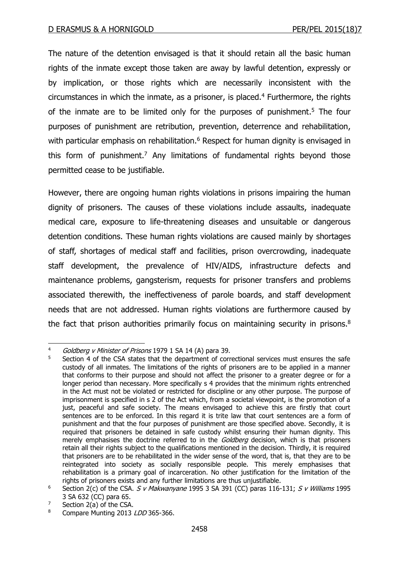The nature of the detention envisaged is that it should retain all the basic human rights of the inmate except those taken are away by lawful detention, expressly or by implication, or those rights which are necessarily inconsistent with the circumstances in which the inmate, as a prisoner, is placed.<sup>4</sup> Furthermore, the rights of the inmate are to be limited only for the purposes of punishment.<sup>5</sup> The four purposes of punishment are retribution, prevention, deterrence and rehabilitation, with particular emphasis on rehabilitation.<sup>6</sup> Respect for human dignity is envisaged in this form of punishment.<sup>7</sup> Any limitations of fundamental rights beyond those permitted cease to be justifiable.

However, there are ongoing human rights violations in prisons impairing the human dignity of prisoners. The causes of these violations include assaults, inadequate medical care, exposure to life-threatening diseases and unsuitable or dangerous detention conditions. These human rights violations are caused mainly by shortages of staff, shortages of medical staff and facilities, prison overcrowding, inadequate staff development, the prevalence of HIV/AIDS, infrastructure defects and maintenance problems, gangsterism, requests for prisoner transfers and problems associated therewith, the ineffectiveness of parole boards, and staff development needs that are not addressed. Human rights violations are furthermore caused by the fact that prison authorities primarily focus on maintaining security in prisons.<sup>8</sup>

<sup>-</sup>4 Goldberg v Minister of Prisons 1979 1 SA 14 (A) para 39.

<sup>5</sup> Section 4 of the CSA states that the department of correctional services must ensures the safe custody of all inmates. The limitations of the rights of prisoners are to be applied in a manner that conforms to their purpose and should not affect the prisoner to a greater degree or for a longer period than necessary. More specifically s 4 provides that the minimum rights entrenched in the Act must not be violated or restricted for discipline or any other purpose. The purpose of imprisonment is specified in s 2 of the Act which, from a societal viewpoint, is the promotion of a just, peaceful and safe society. The means envisaged to achieve this are firstly that court sentences are to be enforced. In this regard it is trite law that court sentences are a form of punishment and that the four purposes of punishment are those specified above. Secondly, it is required that prisoners be detained in safe custody whilst ensuring their human dignity. This merely emphasises the doctrine referred to in the *Goldberg* decision, which is that prisoners retain all their rights subject to the qualifications mentioned in the decision. Thirdly, it is required that prisoners are to be rehabilitated in the wider sense of the word, that is, that they are to be reintegrated into society as socially responsible people. This merely emphasises that rehabilitation is a primary goal of incarceration. No other justification for the limitation of the rights of prisoners exists and any further limitations are thus unjustifiable.

<sup>&</sup>lt;sup>6</sup> Section 2(c) of the CSA. *S v Makwanyane* 1995 3 SA 391 (CC) paras 116-131; *S v Williams* 1995 3 SA 632 (CC) para 65.

 $7$  Section 2(a) of the CSA.

<sup>8</sup> Compare Munting 2013 LDD 365-366.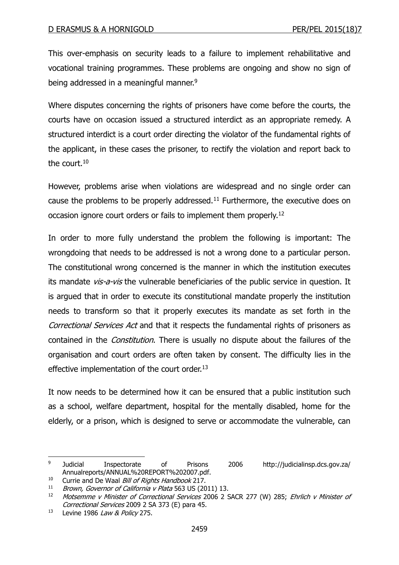This over-emphasis on security leads to a failure to implement rehabilitative and vocational training programmes. These problems are ongoing and show no sign of being addressed in a meaningful manner.<sup>9</sup>

Where disputes concerning the rights of prisoners have come before the courts, the courts have on occasion issued a structured interdict as an appropriate remedy. A structured interdict is a court order directing the violator of the fundamental rights of the applicant, in these cases the prisoner, to rectify the violation and report back to the court.<sup>10</sup>

However, problems arise when violations are widespread and no single order can cause the problems to be properly addressed.<sup>11</sup> Furthermore, the executive does on occasion ignore court orders or fails to implement them properly.<sup>12</sup>

In order to more fully understand the problem the following is important: The wrongdoing that needs to be addressed is not a wrong done to a particular person. The constitutional wrong concerned is the manner in which the institution executes its mandate  $vis-a-vis$  the vulnerable beneficiaries of the public service in question. It is argued that in order to execute its constitutional mandate properly the institution needs to transform so that it properly executes its mandate as set forth in the Correctional Services Act and that it respects the fundamental rights of prisoners as contained in the *Constitution*. There is usually no dispute about the failures of the organisation and court orders are often taken by consent. The difficulty lies in the effective implementation of the court order. $13$ 

It now needs to be determined how it can be ensured that a public institution such as a school, welfare department, hospital for the mentally disabled, home for the elderly, or a prison, which is designed to serve or accommodate the vulnerable, can

<sup>9</sup> Judicial Inspectorate of Prisons 2006 http://judicialinsp.dcs.gov.za/ Annualreports/ANNUAL%20REPORT%202007.pdf.

<sup>&</sup>lt;sup>10</sup> Currie and De Waal *Bill of Rights Handbook* 217.

<sup>&</sup>lt;sup>11</sup> Brown, Governor of California v Plata 563 US (2011) 13.<br><sup>12</sup> Motsemme v Minister of Correctional Services 2006 2.5

Motsemme v Minister of Correctional Services 2006 2 SACR 277 (W) 285; Ehrlich v Minister of Correctional Services 2009 2 SA 373 (E) para 45.

<sup>13</sup> Levine 1986 Law & Policy 275.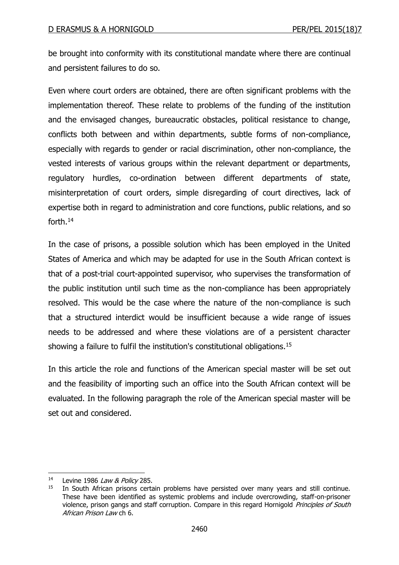be brought into conformity with its constitutional mandate where there are continual and persistent failures to do so.

Even where court orders are obtained, there are often significant problems with the implementation thereof. These relate to problems of the funding of the institution and the envisaged changes, bureaucratic obstacles, political resistance to change, conflicts both between and within departments, subtle forms of non-compliance, especially with regards to gender or racial discrimination, other non-compliance, the vested interests of various groups within the relevant department or departments, regulatory hurdles, co-ordination between different departments of state, misinterpretation of court orders, simple disregarding of court directives, lack of expertise both in regard to administration and core functions, public relations, and so forth.<sup>14</sup>

In the case of prisons, a possible solution which has been employed in the United States of America and which may be adapted for use in the South African context is that of a post-trial court-appointed supervisor, who supervises the transformation of the public institution until such time as the non-compliance has been appropriately resolved. This would be the case where the nature of the non-compliance is such that a structured interdict would be insufficient because a wide range of issues needs to be addressed and where these violations are of a persistent character showing a failure to fulfil the institution's constitutional obligations.<sup>15</sup>

In this article the role and functions of the American special master will be set out and the feasibility of importing such an office into the South African context will be evaluated. In the following paragraph the role of the American special master will be set out and considered.

<sup>&</sup>lt;sup>14</sup> Levine 1986 Law & Policy 285.<br><sup>15</sup> In South African prisons certain

<sup>15</sup> In South African prisons certain problems have persisted over many years and still continue. These have been identified as systemic problems and include overcrowding, staff-on-prisoner violence, prison gangs and staff corruption. Compare in this regard Hornigold Principles of South African Prison Law ch 6.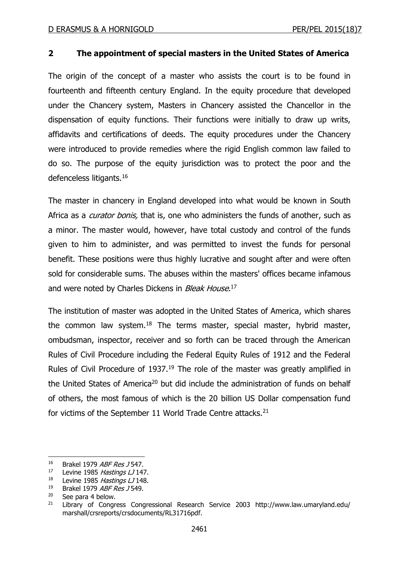#### **2 The appointment of special masters in the United States of America**

The origin of the concept of a master who assists the court is to be found in fourteenth and fifteenth century England. In the equity procedure that developed under the Chancery system, Masters in Chancery assisted the Chancellor in the dispensation of equity functions. Their functions were initially to draw up writs, affidavits and certifications of deeds. The equity procedures under the Chancery were introduced to provide remedies where the rigid English common law failed to do so. The purpose of the equity jurisdiction was to protect the poor and the defenceless litigants.<sup>16</sup>

The master in chancery in England developed into what would be known in South Africa as a *curator bonis*, that is, one who administers the funds of another, such as a minor. The master would, however, have total custody and control of the funds given to him to administer, and was permitted to invest the funds for personal benefit. These positions were thus highly lucrative and sought after and were often sold for considerable sums. The abuses within the masters' offices became infamous and were noted by Charles Dickens in *Bleak House*.<sup>17</sup>

The institution of master was adopted in the United States of America, which shares the common law system.<sup>18</sup> The terms master, special master, hybrid master, ombudsman, inspector, receiver and so forth can be traced through the American Rules of Civil Procedure including the Federal Equity Rules of 1912 and the Federal Rules of Civil Procedure of 1937.<sup>19</sup> The role of the master was greatly amplified in the United States of America<sup>20</sup> but did include the administration of funds on behalf of others, the most famous of which is the 20 billion US Dollar compensation fund for victims of the September 11 World Trade Centre attacks.<sup>21</sup>

<sup>&</sup>lt;sup>16</sup> Brakel 1979 *ABF Res J* 547.<br><sup>17</sup> Levine 1985 *Hastings L* 1147

<sup>&</sup>lt;sup>17</sup> Levine 1985 *Hastings LJ* 147.

<sup>&</sup>lt;sup>18</sup> Levine 1985 Hastings LJ 148.<br><sup>19</sup> Brakel 1979 ARE Pec 1549

<sup>&</sup>lt;sup>19</sup> Brakel 1979 *ABF Res J* 549.<br><sup>20</sup> See para 4 below

 $20$  See para 4 below.<br>
<sup>21</sup> Library of Congr

<sup>21</sup> Library of Congress Congressional Research Service 2003 http://www.law.umaryland.edu/ marshall/crsreports/crsdocuments/RL31716pdf.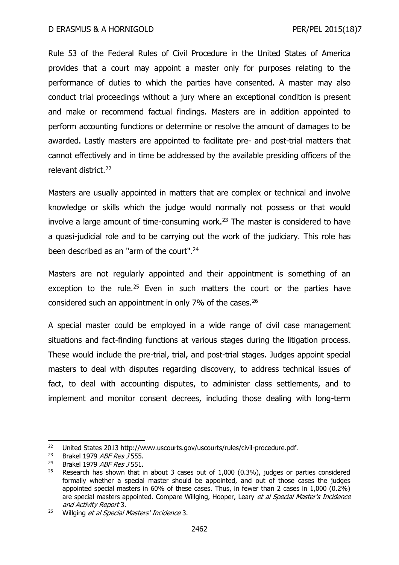Rule 53 of the Federal Rules of Civil Procedure in the United States of America provides that a court may appoint a master only for purposes relating to the performance of duties to which the parties have consented. A master may also conduct trial proceedings without a jury where an exceptional condition is present and make or recommend factual findings. Masters are in addition appointed to perform accounting functions or determine or resolve the amount of damages to be awarded. Lastly masters are appointed to facilitate pre- and post-trial matters that cannot effectively and in time be addressed by the available presiding officers of the relevant district.<sup>22</sup>

Masters are usually appointed in matters that are complex or technical and involve knowledge or skills which the judge would normally not possess or that would involve a large amount of time-consuming work.<sup>23</sup> The master is considered to have a quasi-judicial role and to be carrying out the work of the judiciary. This role has been described as an "arm of the court". 24

Masters are not regularly appointed and their appointment is something of an exception to the rule.<sup>25</sup> Even in such matters the court or the parties have considered such an appointment in only 7% of the cases.<sup>26</sup>

A special master could be employed in a wide range of civil case management situations and fact-finding functions at various stages during the litigation process. These would include the pre-trial, trial, and post-trial stages. Judges appoint special masters to deal with disputes regarding discovery, to address technical issues of fact, to deal with accounting disputes, to administer class settlements, and to implement and monitor consent decrees, including those dealing with long-term

<sup>1</sup> <sup>22</sup> United States 2013 http://www.uscourts.gov/uscourts/rules/civil-procedure.pdf.

<sup>&</sup>lt;sup>23</sup> Brakel 1979 *ABF Res J* 555.<br><sup>24</sup> Brakel 1979 *ABF Res 1*551

<sup>&</sup>lt;sup>24</sup> Brakel 1979 *ABF Res J* 551.<br><sup>25</sup> Besearch bas shown that it

Research has shown that in about 3 cases out of  $1,000$  (0.3%), judges or parties considered formally whether a special master should be appointed, and out of those cases the judges appointed special masters in 60% of these cases. Thus, in fewer than 2 cases in 1,000 (0.2%) are special masters appointed. Compare Willging, Hooper, Leary et al Special Master's Incidence and Activity Report 3.

<sup>&</sup>lt;sup>26</sup> Willging *et al Special Masters' Incidence* 3.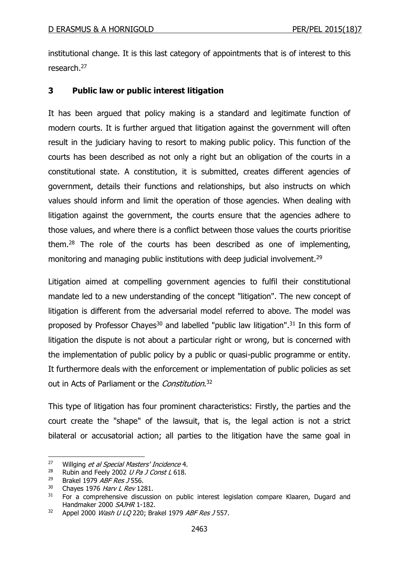institutional change. It is this last category of appointments that is of interest to this research.<sup>27</sup>

#### **3 Public law or public interest litigation**

It has been argued that policy making is a standard and legitimate function of modern courts. It is further argued that litigation against the government will often result in the judiciary having to resort to making public policy. This function of the courts has been described as not only a right but an obligation of the courts in a constitutional state. A constitution, it is submitted, creates different agencies of government, details their functions and relationships, but also instructs on which values should inform and limit the operation of those agencies. When dealing with litigation against the government, the courts ensure that the agencies adhere to those values, and where there is a conflict between those values the courts prioritise them.<sup>28</sup> The role of the courts has been described as one of implementing, monitoring and managing public institutions with deep judicial involvement.<sup>29</sup>

Litigation aimed at compelling government agencies to fulfil their constitutional mandate led to a new understanding of the concept "litigation". The new concept of litigation is different from the adversarial model referred to above. The model was proposed by Professor Chayes<sup>30</sup> and labelled "public law litigation".<sup>31</sup> In this form of litigation the dispute is not about a particular right or wrong, but is concerned with the implementation of public policy by a public or quasi-public programme or entity. It furthermore deals with the enforcement or implementation of public policies as set out in Acts of Parliament or the Constitution.<sup>32</sup>

This type of litigation has four prominent characteristics: Firstly, the parties and the court create the "shape" of the lawsuit, that is, the legal action is not a strict bilateral or accusatorial action; all parties to the litigation have the same goal in

<sup>&</sup>lt;sup>27</sup> Willging *et al Special Masters' Incidence* 4.<br><sup>28</sup> Rubin and Feely 2002 *LLPa 1 Const L* 618

<sup>&</sup>lt;sup>28</sup> Rubin and Feely 2002 *U Pa J Const L* 618.

<sup>&</sup>lt;sup>29</sup> Brakel 1979 *ABF Res J* 556.<br><sup>30</sup> Chaves 1976 Hary L Rey 12

 $30$  Chayes 1976 Harv L Rev 1281.

<sup>31</sup> For a comprehensive discussion on public interest legislation compare Klaaren, Dugard and Handmaker 2000 SAJHR 1-182.

 $32$  Appel 2000 *Wash U LQ* 220; Brakel 1979 *ABF Res J* 557.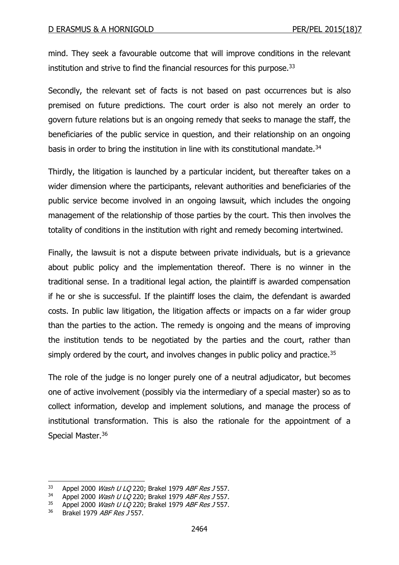mind. They seek a favourable outcome that will improve conditions in the relevant institution and strive to find the financial resources for this purpose.<sup>33</sup>

Secondly, the relevant set of facts is not based on past occurrences but is also premised on future predictions. The court order is also not merely an order to govern future relations but is an ongoing remedy that seeks to manage the staff, the beneficiaries of the public service in question, and their relationship on an ongoing basis in order to bring the institution in line with its constitutional mandate.<sup>34</sup>

Thirdly, the litigation is launched by a particular incident, but thereafter takes on a wider dimension where the participants, relevant authorities and beneficiaries of the public service become involved in an ongoing lawsuit, which includes the ongoing management of the relationship of those parties by the court. This then involves the totality of conditions in the institution with right and remedy becoming intertwined.

Finally, the lawsuit is not a dispute between private individuals, but is a grievance about public policy and the implementation thereof. There is no winner in the traditional sense. In a traditional legal action, the plaintiff is awarded compensation if he or she is successful. If the plaintiff loses the claim, the defendant is awarded costs. In public law litigation, the litigation affects or impacts on a far wider group than the parties to the action. The remedy is ongoing and the means of improving the institution tends to be negotiated by the parties and the court, rather than simply ordered by the court, and involves changes in public policy and practice.<sup>35</sup>

The role of the judge is no longer purely one of a neutral adjudicator, but becomes one of active involvement (possibly via the intermediary of a special master) so as to collect information, develop and implement solutions, and manage the process of institutional transformation. This is also the rationale for the appointment of a Special Master.<sup>36</sup>

<sup>33</sup> Appel 2000 *Wash U LQ* 220; Brakel 1979 *ABF Res J* 557.<br>34 Appel 2000 *Wash U LQ* 220; Brakel 1979 *ABF Pes 1557* 

 $34$  Appel 2000 *Wash U LQ* 220; Brakel 1979 *ABF Res J* 557.<br> $35$  Appel 2000 *Wash U LQ* 220; Brakel 1979 *ABF Res 1*557

Appel 2000 Wash U LQ 220; Brakel 1979 ABF Res J 557.

<sup>36</sup> Brakel 1979 ABF Res J 557.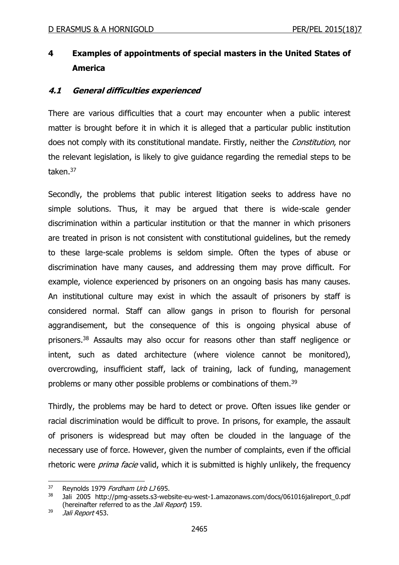# **4 Examples of appointments of special masters in the United States of America**

#### **4.1 General difficulties experienced**

There are various difficulties that a court may encounter when a public interest matter is brought before it in which it is alleged that a particular public institution does not comply with its constitutional mandate. Firstly, neither the *Constitution*, nor the relevant legislation, is likely to give guidance regarding the remedial steps to be taken. 37

Secondly, the problems that public interest litigation seeks to address have no simple solutions. Thus, it may be argued that there is wide-scale gender discrimination within a particular institution or that the manner in which prisoners are treated in prison is not consistent with constitutional guidelines, but the remedy to these large-scale problems is seldom simple. Often the types of abuse or discrimination have many causes, and addressing them may prove difficult. For example, violence experienced by prisoners on an ongoing basis has many causes. An institutional culture may exist in which the assault of prisoners by staff is considered normal. Staff can allow gangs in prison to flourish for personal aggrandisement, but the consequence of this is ongoing physical abuse of prisoners.<sup>38</sup> Assaults may also occur for reasons other than staff negligence or intent, such as dated architecture (where violence cannot be monitored), overcrowding, insufficient staff, lack of training, lack of funding, management problems or many other possible problems or combinations of them.<sup>39</sup>

Thirdly, the problems may be hard to detect or prove. Often issues like gender or racial discrimination would be difficult to prove. In prisons, for example, the assault of prisoners is widespread but may often be clouded in the language of the necessary use of force. However, given the number of complaints, even if the official rhetoric were *prima facie* valid, which it is submitted is highly unlikely, the frequency

 $37$  Reynolds 1979 *Fordham Urb LJ* 695.<br> $38$  Jali 2005 http://pmg-assets.s3-web

Jali 2005 http://pmg-assets.s3-website-eu-west-1.amazonaws.com/docs/061016jalireport\_0.pdf (hereinafter referred to as the *Jali Report*) 159.

<sup>39</sup> Jali Report 453.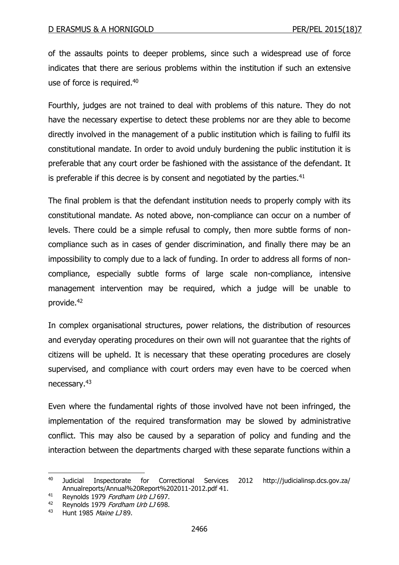of the assaults points to deeper problems, since such a widespread use of force indicates that there are serious problems within the institution if such an extensive use of force is required.<sup>40</sup>

Fourthly, judges are not trained to deal with problems of this nature. They do not have the necessary expertise to detect these problems nor are they able to become directly involved in the management of a public institution which is failing to fulfil its constitutional mandate. In order to avoid unduly burdening the public institution it is preferable that any court order be fashioned with the assistance of the defendant. It is preferable if this decree is by consent and negotiated by the parties. $41$ 

The final problem is that the defendant institution needs to properly comply with its constitutional mandate. As noted above, non-compliance can occur on a number of levels. There could be a simple refusal to comply, then more subtle forms of noncompliance such as in cases of gender discrimination, and finally there may be an impossibility to comply due to a lack of funding. In order to address all forms of noncompliance, especially subtle forms of large scale non-compliance, intensive management intervention may be required, which a judge will be unable to provide.<sup>42</sup>

In complex organisational structures, power relations, the distribution of resources and everyday operating procedures on their own will not guarantee that the rights of citizens will be upheld. It is necessary that these operating procedures are closely supervised, and compliance with court orders may even have to be coerced when necessary.<sup>43</sup>

Even where the fundamental rights of those involved have not been infringed, the implementation of the required transformation may be slowed by administrative conflict. This may also be caused by a separation of policy and funding and the interaction between the departments charged with these separate functions within a

<sup>40</sup> Judicial Inspectorate for Correctional Services 2012 http://judicialinsp.dcs.gov.za/ Annualreports/Annual%20Report%202011-2012.pdf 41.

<sup>&</sup>lt;sup>41</sup> Reynolds 1979 *Fordham Urb LJ* 697.<br><sup>42</sup> Reynolds 1979 *Fordham Urb LJ* 698

Reynolds 1979 Fordham Urb LJ 698.

<sup>43</sup> Hunt 1985 Maine LJ 89.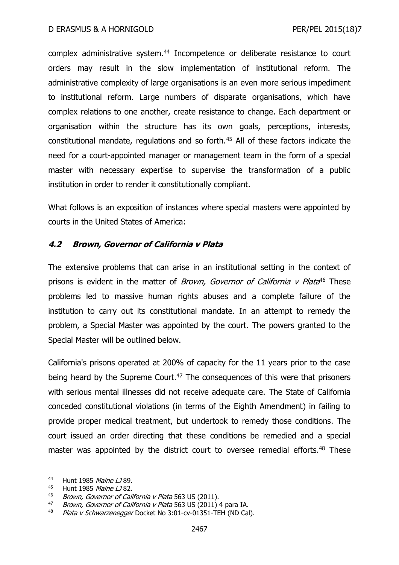complex administrative system.<sup>44</sup> Incompetence or deliberate resistance to court orders may result in the slow implementation of institutional reform. The administrative complexity of large organisations is an even more serious impediment to institutional reform. Large numbers of disparate organisations, which have complex relations to one another, create resistance to change. Each department or organisation within the structure has its own goals, perceptions, interests, constitutional mandate, regulations and so forth.<sup>45</sup> All of these factors indicate the need for a court-appointed manager or management team in the form of a special master with necessary expertise to supervise the transformation of a public institution in order to render it constitutionally compliant.

What follows is an exposition of instances where special masters were appointed by courts in the United States of America:

#### **4.2 Brown, Governor of California v Plata**

The extensive problems that can arise in an institutional setting in the context of prisons is evident in the matter of *Brown, Governor of California v Plata*<sup>46</sup> These problems led to massive human rights abuses and a complete failure of the institution to carry out its constitutional mandate. In an attempt to remedy the problem, a Special Master was appointed by the court. The powers granted to the Special Master will be outlined below.

California's prisons operated at 200% of capacity for the 11 years prior to the case being heard by the Supreme Court.<sup>47</sup> The consequences of this were that prisoners with serious mental illnesses did not receive adequate care. The State of California conceded constitutional violations (in terms of the Eighth Amendment) in failing to provide proper medical treatment, but undertook to remedy those conditions. The court issued an order directing that these conditions be remedied and a special master was appointed by the district court to oversee remedial efforts.<sup>48</sup> These

<sup>44</sup> Hunt 1985 Maine  $LJ$  89.

<sup>&</sup>lt;sup>45</sup> Hunt 1985 Maine LJ 82.<br><sup>46</sup> Brown Governor of Call

<sup>&</sup>lt;sup>46</sup> Brown, Governor of California v Plata 563 US (2011).<br><sup>47</sup> Brown, Governor of California v Plata 563 US (2011).

Brown, Governor of California v Plata 563 US (2011) 4 para IA.

<sup>48</sup> Plata v Schwarzenegger Docket No 3:01-cv-01351-TEH (ND Cal).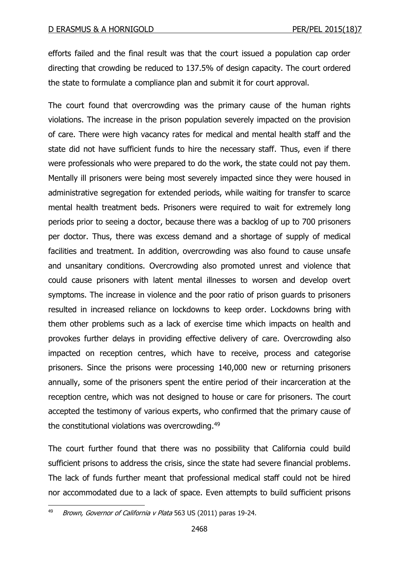efforts failed and the final result was that the court issued a population cap order directing that crowding be reduced to 137.5% of design capacity. The court ordered the state to formulate a compliance plan and submit it for court approval.

The court found that overcrowding was the primary cause of the human rights violations. The increase in the prison population severely impacted on the provision of care. There were high vacancy rates for medical and mental health staff and the state did not have sufficient funds to hire the necessary staff. Thus, even if there were professionals who were prepared to do the work, the state could not pay them. Mentally ill prisoners were being most severely impacted since they were housed in administrative segregation for extended periods, while waiting for transfer to scarce mental health treatment beds. Prisoners were required to wait for extremely long periods prior to seeing a doctor, because there was a backlog of up to 700 prisoners per doctor. Thus, there was excess demand and a shortage of supply of medical facilities and treatment. In addition, overcrowding was also found to cause unsafe and unsanitary conditions. Overcrowding also promoted unrest and violence that could cause prisoners with latent mental illnesses to worsen and develop overt symptoms. The increase in violence and the poor ratio of prison guards to prisoners resulted in increased reliance on lockdowns to keep order. Lockdowns bring with them other problems such as a lack of exercise time which impacts on health and provokes further delays in providing effective delivery of care. Overcrowding also impacted on reception centres, which have to receive, process and categorise prisoners. Since the prisons were processing 140,000 new or returning prisoners annually, some of the prisoners spent the entire period of their incarceration at the reception centre, which was not designed to house or care for prisoners. The court accepted the testimony of various experts, who confirmed that the primary cause of the constitutional violations was overcrowding.<sup>49</sup>

The court further found that there was no possibility that California could build sufficient prisons to address the crisis, since the state had severe financial problems. The lack of funds further meant that professional medical staff could not be hired nor accommodated due to a lack of space. Even attempts to build sufficient prisons

<sup>1</sup> 49 Brown, Governor of California v Plata 563 US (2011) paras 19-24.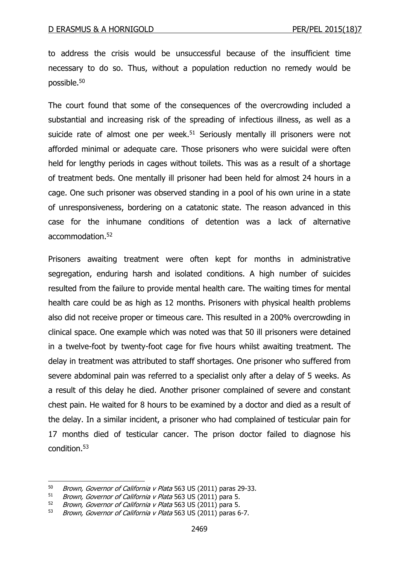to address the crisis would be unsuccessful because of the insufficient time necessary to do so. Thus, without a population reduction no remedy would be possible.<sup>50</sup>

The court found that some of the consequences of the overcrowding included a substantial and increasing risk of the spreading of infectious illness, as well as a suicide rate of almost one per week.<sup>51</sup> Seriously mentally ill prisoners were not afforded minimal or adequate care. Those prisoners who were suicidal were often held for lengthy periods in cages without toilets. This was as a result of a shortage of treatment beds. One mentally ill prisoner had been held for almost 24 hours in a cage. One such prisoner was observed standing in a pool of his own urine in a state of unresponsiveness, bordering on a catatonic state. The reason advanced in this case for the inhumane conditions of detention was a lack of alternative accommodation.<sup>52</sup>

Prisoners awaiting treatment were often kept for months in administrative segregation, enduring harsh and isolated conditions. A high number of suicides resulted from the failure to provide mental health care. The waiting times for mental health care could be as high as 12 months. Prisoners with physical health problems also did not receive proper or timeous care. This resulted in a 200% overcrowding in clinical space. One example which was noted was that 50 ill prisoners were detained in a twelve-foot by twenty-foot cage for five hours whilst awaiting treatment. The delay in treatment was attributed to staff shortages. One prisoner who suffered from severe abdominal pain was referred to a specialist only after a delay of 5 weeks. As a result of this delay he died. Another prisoner complained of severe and constant chest pain. He waited for 8 hours to be examined by a doctor and died as a result of the delay. In a similar incident, a prisoner who had complained of testicular pain for 17 months died of testicular cancer. The prison doctor failed to diagnose his condition.<sup>53</sup>

<sup>&</sup>lt;sup>50</sup> Brown, Governor of California v Plata 563 US (2011) paras 29-33.<br><sup>51</sup> Brown, Governor of California v Plata 563 US (2011) para 5

<sup>&</sup>lt;sup>51</sup> Brown, Governor of California v Plata 563 US (2011) para 5.<br><sup>52</sup> Brown, Governor of California v Plata 563 US (2011) para 5.

Brown, Governor of California v Plata 563 US (2011) para 5.

<sup>53</sup> Brown, Governor of California v Plata 563 US (2011) paras 6-7.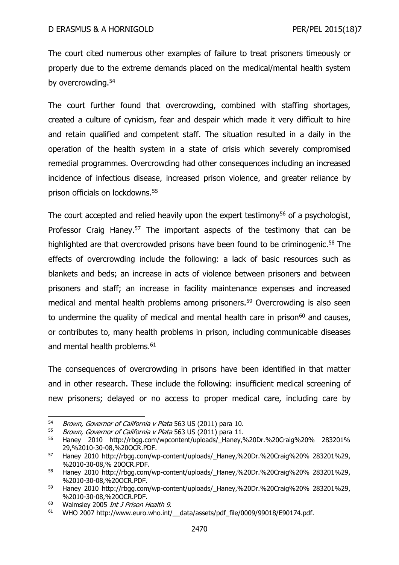The court cited numerous other examples of failure to treat prisoners timeously or properly due to the extreme demands placed on the medical/mental health system by overcrowding.<sup>54</sup>

The court further found that overcrowding, combined with staffing shortages, created a culture of cynicism, fear and despair which made it very difficult to hire and retain qualified and competent staff. The situation resulted in a daily in the operation of the health system in a state of crisis which severely compromised remedial programmes. Overcrowding had other consequences including an increased incidence of infectious disease, increased prison violence, and greater reliance by prison officials on lockdowns.<sup>55</sup>

The court accepted and relied heavily upon the expert testimony<sup>56</sup> of a psychologist, Professor Craig Haney.<sup>57</sup> The important aspects of the testimony that can be highlighted are that overcrowded prisons have been found to be criminogenic.<sup>58</sup> The effects of overcrowding include the following: a lack of basic resources such as blankets and beds; an increase in acts of violence between prisoners and between prisoners and staff; an increase in facility maintenance expenses and increased medical and mental health problems among prisoners.<sup>59</sup> Overcrowding is also seen to undermine the quality of medical and mental health care in prison $60$  and causes, or contributes to, many health problems in prison, including communicable diseases and mental health problems.<sup>61</sup>

The consequences of overcrowding in prisons have been identified in that matter and in other research. These include the following: insufficient medical screening of new prisoners; delayed or no access to proper medical care, including care by

<sup>54</sup> Brown, Governor of California v Plata 563 US (2011) para 10.

<sup>55</sup> Brown, Governor of California v Plata 563 US (2011) para 11.

<sup>56</sup> Haney 2010 http://rbgg.com/wpcontent/uploads/\_Haney,%20Dr.%20Craig%20% 283201% 29,%2010-30-08,%20OCR.PDF.

<sup>57</sup> Haney 2010 http://rbgg.com/wp-content/uploads/\_Haney,%20Dr.%20Craig%20% 283201%29, %2010-30-08,% 20OCR.PDF.

<sup>58</sup> Haney 2010 http://rbgg.com/wp-content/uploads/\_Haney,%20Dr.%20Craig%20% 283201%29, %2010-30-08,%20OCR.PDF.

<sup>59</sup> Haney 2010 http://rbgg.com/wp-content/uploads/\_Haney,%20Dr.%20Craig%20% 283201%29, %2010-30-08,%20OCR.PDF.

 $60$  Walmsley 2005 *Int J Prison Health 9*.

<sup>61</sup> WHO 2007 http://www.euro.who.int/\_\_data/assets/pdf\_file/0009/99018/E90174.pdf.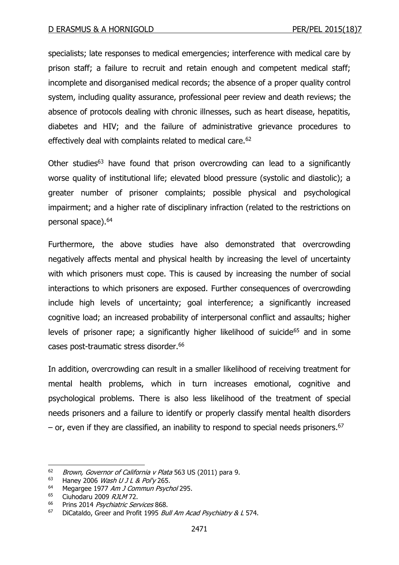specialists; late responses to medical emergencies; interference with medical care by prison staff; a failure to recruit and retain enough and competent medical staff; incomplete and disorganised medical records; the absence of a proper quality control system, including quality assurance, professional peer review and death reviews; the absence of protocols dealing with chronic illnesses, such as heart disease, hepatitis, diabetes and HIV; and the failure of administrative grievance procedures to effectively deal with complaints related to medical care.<sup>62</sup>

Other studies<sup>63</sup> have found that prison overcrowding can lead to a significantly worse quality of institutional life; elevated blood pressure (systolic and diastolic); a greater number of prisoner complaints; possible physical and psychological impairment; and a higher rate of disciplinary infraction (related to the restrictions on personal space).<sup>64</sup>

Furthermore, the above studies have also demonstrated that overcrowding negatively affects mental and physical health by increasing the level of uncertainty with which prisoners must cope. This is caused by increasing the number of social interactions to which prisoners are exposed. Further consequences of overcrowding include high levels of uncertainty; goal interference; a significantly increased cognitive load; an increased probability of interpersonal conflict and assaults; higher levels of prisoner rape; a significantly higher likelihood of suicide<sup>65</sup> and in some cases post-traumatic stress disorder.<sup>66</sup>

In addition, overcrowding can result in a smaller likelihood of receiving treatment for mental health problems, which in turn increases emotional, cognitive and psychological problems. There is also less likelihood of the treatment of special needs prisoners and a failure to identify or properly classify mental health disorders – or, even if they are classified, an inability to respond to special needs prisoners.<sup>67</sup>

 $62$  Brown, Governor of California v Plata 563 US (2011) para 9.

<sup>&</sup>lt;sup>63</sup> Haney 2006 *Wash U J L & Pol'y* 265.

<sup>&</sup>lt;sup>64</sup> Megargee 1977 Am J Commun Psychol 295.

 $^{65}$  Ciuhodaru 2009 RJLM 72.<br> $^{66}$  Prins 2014 *Psychiatric Ser* 

Prins 2014 Psychiatric Services 868.

 $67$  DiCataldo, Greer and Profit 1995 Bull Am Acad Psychiatry & L 574.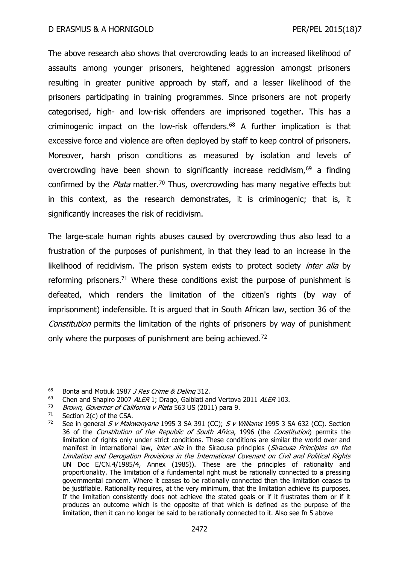The above research also shows that overcrowding leads to an increased likelihood of assaults among younger prisoners, heightened aggression amongst prisoners resulting in greater punitive approach by staff, and a lesser likelihood of the prisoners participating in training programmes. Since prisoners are not properly categorised, high- and low-risk offenders are imprisoned together. This has a criminogenic impact on the low-risk offenders.<sup>68</sup> A further implication is that excessive force and violence are often deployed by staff to keep control of prisoners. Moreover, harsh prison conditions as measured by isolation and levels of overcrowding have been shown to significantly increase recidivism,  $69$  a finding confirmed by the *Plata* matter.<sup>70</sup> Thus, overcrowding has many negative effects but in this context, as the research demonstrates, it is criminogenic; that is, it significantly increases the risk of recidivism.

The large-scale human rights abuses caused by overcrowding thus also lead to a frustration of the purposes of punishment, in that they lead to an increase in the likelihood of recidivism. The prison system exists to protect society *inter alia* by reforming prisoners.<sup>71</sup> Where these conditions exist the purpose of punishment is defeated, which renders the limitation of the citizen's rights (by way of imprisonment) indefensible. It is argued that in South African law, section 36 of the Constitution permits the limitation of the rights of prisoners by way of punishment only where the purposes of punishment are being achieved.<sup>72</sup>

<sup>&</sup>lt;sup>68</sup> Bonta and Motiuk 1987 *J Res Crime & Deling* 312.

<sup>&</sup>lt;sup>69</sup> Chen and Shapiro 2007 *ALER* 1; Drago, Galbiati and Vertova 2011 *ALER* 103.<br><sup>70</sup> *Brown, Governor of California v Plata* 563 US (2011) para 9

 $70$  Brown, Governor of California v Plata 563 US (2011) para 9.<br> $71$  Section 2(c) of the CSA

<sup>&</sup>lt;sup>71</sup> Section 2(c) of the CSA.<br><sup>72</sup> See in general *S v Maki* 

See in general S v Makwanyane 1995 3 SA 391 (CC); S v Williams 1995 3 SA 632 (CC). Section 36 of the Constitution of the Republic of South Africa, 1996 (the Constitution) permits the limitation of rights only under strict conditions. These conditions are similar the world over and manifest in international law, *inter alia* in the Siracusa principles (*Siracusa Principles on the* Limitation and Derogation Provisions in the International Covenant on Civil and Political Rights UN Doc E/CN.4/1985/4, Annex (1985)). These are the principles of rationality and proportionality. The limitation of a fundamental right must be rationally connected to a pressing governmental concern. Where it ceases to be rationally connected then the limitation ceases to be justifiable. Rationality requires, at the very minimum, that the limitation achieve its purposes. If the limitation consistently does not achieve the stated goals or if it frustrates them or if it produces an outcome which is the opposite of that which is defined as the purpose of the limitation, then it can no longer be said to be rationally connected to it. Also see fn 5 above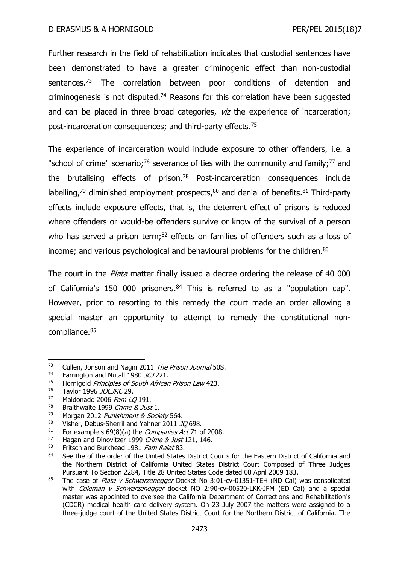Further research in the field of rehabilitation indicates that custodial sentences have been demonstrated to have a greater criminogenic effect than non-custodial sentences.<sup>73</sup> The correlation between poor conditions of detention and criminogenesis is not disputed.<sup>74</sup> Reasons for this correlation have been suggested and can be placed in three broad categories, viz the experience of incarceration; post-incarceration consequences; and third-party effects.<sup>75</sup>

The experience of incarceration would include exposure to other offenders, i.e. a "school of crime" scenario;<sup>76</sup> severance of ties with the community and family;<sup>77</sup> and the brutalising effects of prison.<sup>78</sup> Post-incarceration consequences include labelling,<sup>79</sup> diminished employment prospects,<sup>80</sup> and denial of benefits.<sup>81</sup> Third-party effects include exposure effects, that is, the deterrent effect of prisons is reduced where offenders or would-be offenders survive or know of the survival of a person who has served a prison term;<sup>82</sup> effects on families of offenders such as a loss of income; and various psychological and behavioural problems for the children.<sup>83</sup>

The court in the *Plata* matter finally issued a decree ordering the release of 40 000 of California's 150 000 prisoners.<sup>84</sup> This is referred to as a "population cap". However, prior to resorting to this remedy the court made an order allowing a special master an opportunity to attempt to remedy the constitutional noncompliance.<sup>85</sup>

<sup>&</sup>lt;sup>73</sup> Cullen, Jonson and Nagin 2011 *The Prison Journal* 50S.

<sup>&</sup>lt;sup>74</sup> Farrington and Nutall 1980 *JCJ* 221.<br><sup>75</sup> Hornigold *Principles of South Africar* 

<sup>&</sup>lt;sup>75</sup> Hornigold *Principles of South African Prison Law* 423.<br><sup>76</sup> Taylor 1996 *JOCIRC* 29

 $^{76}$  Taylor 1996 *JOCJRC* 29.

<sup>&</sup>lt;sup>77</sup> Maldonado 2006 *Fam LQ* 191.

<sup>&</sup>lt;sup>78</sup> Braithwaite 1999 Crime & Just 1.<br><sup>79</sup> Morgan 2012 *Punishment & Soci* 

<sup>&</sup>lt;sup>79</sup> Morgan 2012 *Punishment & Society* 564.<br><sup>80</sup> Vicher, Debus-Sherril and Yahner 2011, *1* 

<sup>&</sup>lt;sup>80</sup> Visher, Debus-Sherril and Yahner 2011 *JQ* 698.<br><sup>81</sup> For example s 69(8)(a) the *Companies Act* 71 c

<sup>&</sup>lt;sup>81</sup> For example s  $69(8)(a)$  the *Companies Act* 71 of 2008.

<sup>&</sup>lt;sup>82</sup> Hagan and Dinovitzer 1999 *Crime & Just* 121, 146.<br><sup>83</sup> Fritsch and Burkhead 1981 *Fam Relat* 83

Fritsch and Burkhead 1981 Fam Relat 83.

<sup>84</sup> See the of the order of the United States District Courts for the Eastern District of California and the Northern District of California United States District Court Composed of Three Judges Pursuant To Section 2284, Title 28 United States Code dated 08 April 2009 183.

<sup>&</sup>lt;sup>85</sup> The case of *Plata v Schwarzenegger* Docket No 3:01-cv-01351-TEH (ND Cal) was consolidated with Coleman v Schwarzenegger docket NO 2:90-cv-00520-LKK-JFM [\(ED Cal\)](https://en.wikipedia.org/wiki/United_States_District_Court_for_the_Eastern_District_of_California) and a special master was appointed to oversee the California Department of Corrections and Rehabilitation's (CDCR) medical health care delivery system. On 23 July 2007 the matters were assigned to a three-judge court of the United States District Court for the Northern District of California. The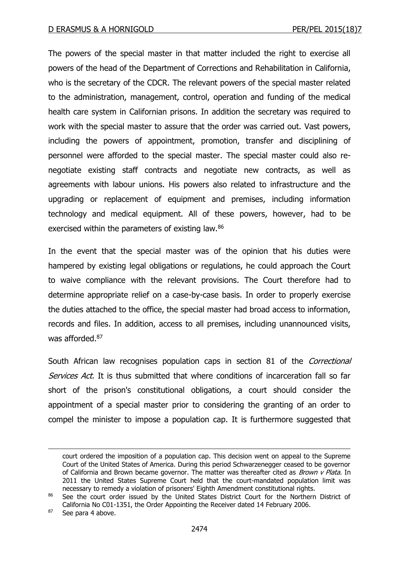The powers of the special master in that matter included the right to exercise all powers of the head of the Department of Corrections and Rehabilitation in California, who is the secretary of the CDCR. The relevant powers of the special master related to the administration, management, control, operation and funding of the medical health care system in Californian prisons. In addition the secretary was required to work with the special master to assure that the order was carried out. Vast powers, including the powers of appointment, promotion, transfer and disciplining of personnel were afforded to the special master. The special master could also renegotiate existing staff contracts and negotiate new contracts, as well as agreements with labour unions. His powers also related to infrastructure and the upgrading or replacement of equipment and premises, including information technology and medical equipment. All of these powers, however, had to be exercised within the parameters of existing law.<sup>86</sup>

In the event that the special master was of the opinion that his duties were hampered by existing legal obligations or regulations, he could approach the Court to waive compliance with the relevant provisions. The Court therefore had to determine appropriate relief on a case-by-case basis. In order to properly exercise the duties attached to the office, the special master had broad access to information, records and files. In addition, access to all premises, including unannounced visits, was afforded.<sup>87</sup>

South African law recognises population caps in section 81 of the Correctional Services Act. It is thus submitted that where conditions of incarceration fall so far short of the prison's constitutional obligations, a court should consider the appointment of a special master prior to considering the granting of an order to compel the minister to impose a population cap. It is furthermore suggested that

court ordered the imposition of a population cap. This decision went on appeal to the Supreme Court of the United States of America. During this period Schwarzenegger ceased to be governor of California and Brown became governor. The matter was thereafter cited as *Brown v Plata*. In 2011 the United States Supreme Court held that the court-mandated population limit was necessary to remedy a violation of prisoners' Eighth Amendment constitutional rights.

<sup>86</sup> See the court order issued by the United States District Court for the Northern District of California No C01-1351, the Order Appointing the Receiver dated 14 February 2006.

<sup>87</sup> See para 4 above.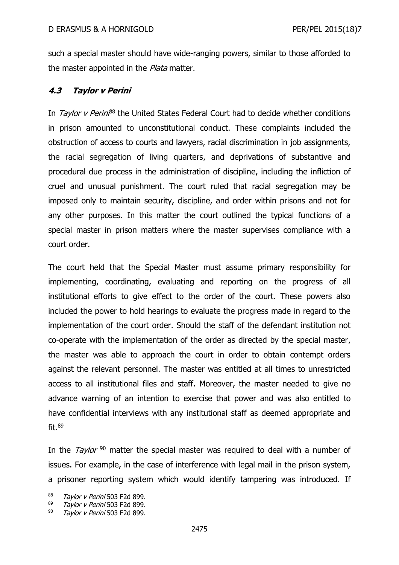such a special master should have wide-ranging powers, similar to those afforded to the master appointed in the *Plata* matter.

#### **4.3 Taylor v Perini**

In Taylor v Perin<sup>88</sup> the United States Federal Court had to decide whether conditions in prison amounted to unconstitutional conduct. These complaints included the obstruction of access to courts and lawyers, racial discrimination in job assignments, the racial segregation of living quarters, and deprivations of substantive and procedural due process in the administration of discipline, including the infliction of cruel and unusual punishment. The court ruled that racial segregation may be imposed only to maintain security, discipline, and order within prisons and not for any other purposes. In this matter the court outlined the typical functions of a special master in prison matters where the master supervises compliance with a court order.

The court held that the Special Master must assume primary responsibility for implementing, coordinating, evaluating and reporting on the progress of all institutional efforts to give effect to the order of the court. These powers also included the power to hold hearings to evaluate the progress made in regard to the implementation of the court order. Should the staff of the defendant institution not co-operate with the implementation of the order as directed by the special master, the master was able to approach the court in order to obtain contempt orders against the relevant personnel. The master was entitled at all times to unrestricted access to all institutional files and staff. Moreover, the master needed to give no advance warning of an intention to exercise that power and was also entitled to have confidential interviews with any institutional staff as deemed appropriate and fit.<sup>89</sup>

In the *Taylor* <sup>90</sup> matter the special master was required to deal with a number of issues. For example, in the case of interference with legal mail in the prison system, a prisoner reporting system which would identify tampering was introduced. If

 $^{88}$  Taylor v Perini 503 F2d 899.

Taylor v Perini 503 F2d 899.

<sup>90</sup> Taylor v Perini 503 F2d 899.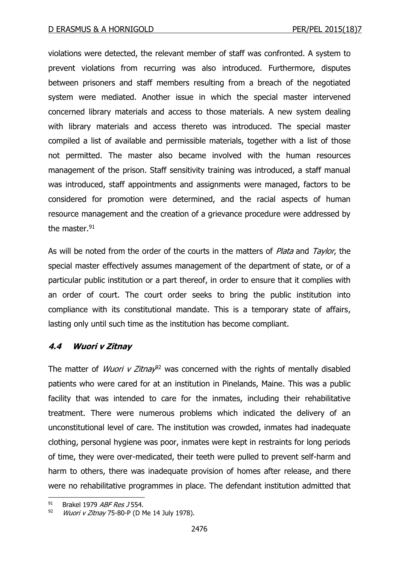violations were detected, the relevant member of staff was confronted. A system to prevent violations from recurring was also introduced. Furthermore, disputes between prisoners and staff members resulting from a breach of the negotiated system were mediated. Another issue in which the special master intervened concerned library materials and access to those materials. A new system dealing with library materials and access thereto was introduced. The special master compiled a list of available and permissible materials, together with a list of those not permitted. The master also became involved with the human resources management of the prison. Staff sensitivity training was introduced, a staff manual was introduced, staff appointments and assignments were managed, factors to be considered for promotion were determined, and the racial aspects of human resource management and the creation of a grievance procedure were addressed by the master. $91$ 

As will be noted from the order of the courts in the matters of *Plata* and *Taylor*, the special master effectively assumes management of the department of state, or of a particular public institution or a part thereof, in order to ensure that it complies with an order of court. The court order seeks to bring the public institution into compliance with its constitutional mandate. This is a temporary state of affairs, lasting only until such time as the institution has become compliant.

#### **4.4 Wuori <sup>v</sup> Zitnay**

The matter of *Wuori v Zitnay*<sup>92</sup> was concerned with the rights of mentally disabled patients who were cared for at an institution in Pinelands, Maine. This was a public facility that was intended to care for the inmates, including their rehabilitative treatment. There were numerous problems which indicated the delivery of an unconstitutional level of care. The institution was crowded, inmates had inadequate clothing, personal hygiene was poor, inmates were kept in restraints for long periods of time, they were over-medicated, their teeth were pulled to prevent self-harm and harm to others, there was inadequate provision of homes after release, and there were no rehabilitative programmes in place. The defendant institution admitted that

<sup>1</sup>  $91$  Brakel 1979 ABF Res J 554.

 $92$  *Wuori v Zitnay* 75-80-P (D Me 14 July 1978).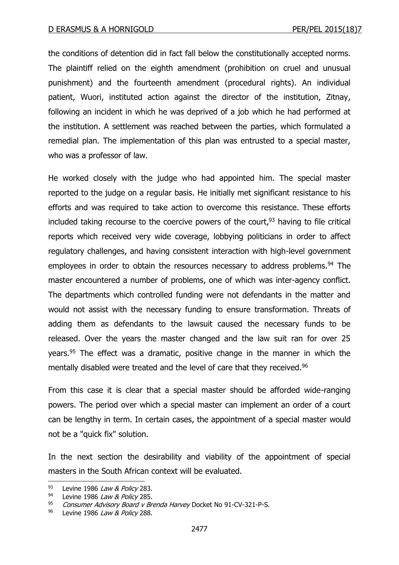the conditions of detention did in fact fall below the constitutionally accepted norms. The plaintiff relied on the eighth amendment (prohibition on cruel and unusual punishment) and the fourteenth amendment (procedural rights). An individual patient, Wuori, instituted action against the director of the institution, Zitnay, following an incident in which he was deprived of a job which he had performed at the institution. A settlement was reached between the parties, which formulated a remedial plan. The implementation of this plan was entrusted to a special master, who was a professor of law.

He worked closely with the judge who had appointed him. The special master reported to the judge on a regular basis. He initially met significant resistance to his efforts and was required to take action to overcome this resistance. These efforts included taking recourse to the coercive powers of the court,  $93$  having to file critical reports which received very wide coverage, lobbying politicians in order to affect regulatory challenges, and having consistent interaction with high-level government employees in order to obtain the resources necessary to address problems.<sup>94</sup> The master encountered a number of problems, one of which was inter-agency conflict. The departments which controlled funding were not defendants in the matter and would not assist with the necessary funding to ensure transformation. Threats of adding them as defendants to the lawsuit caused the necessary funds to be released. Over the years the master changed and the law suit ran for over 25 years.<sup>95</sup> The effect was a dramatic, positive change in the manner in which the mentally disabled were treated and the level of care that they received.<sup>96</sup>

From this case it is clear that a special master should be afforded wide-ranging powers. The period over which a special master can implement an order of a court can be lengthy in term. In certain cases, the appointment of a special master would not be a "quick fix" solution.

In the next section the desirability and viability of the appointment of special masters in the South African context will be evaluated.

<sup>93</sup> Levine 1986 Law & Policy 283.

<sup>&</sup>lt;sup>94</sup> Levine 1986 Law & Policy 285.<br><sup>95</sup> Consumer Advisory Board v Br

<sup>95</sup> Consumer Advisory Board v Brenda Harvey Docket No 91-CV-321-P-S.

<sup>96</sup> Levine 1986 Law & Policy 288.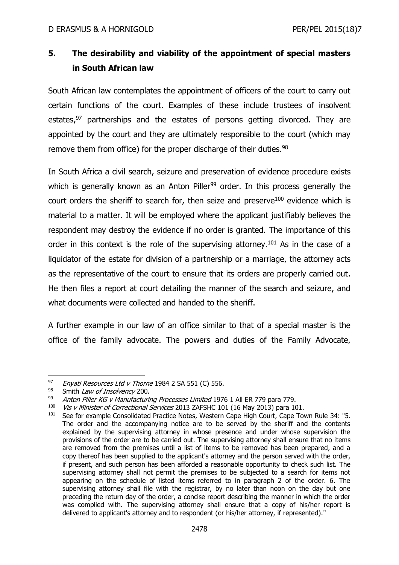# **5. The desirability and viability of the appointment of special masters in South African law**

South African law contemplates the appointment of officers of the court to carry out certain functions of the court. Examples of these include trustees of insolvent estates, $97$  partnerships and the estates of persons getting divorced. They are appointed by the court and they are ultimately responsible to the court (which may remove them from office) for the proper discharge of their duties.<sup>98</sup>

In South Africa a civil search, seizure and preservation of evidence procedure exists which is generally known as an Anton Piller<sup>99</sup> order. In this process generally the court orders the sheriff to search for, then seize and preserve<sup>100</sup> evidence which is material to a matter. It will be employed where the applicant justifiably believes the respondent may destroy the evidence if no order is granted. The importance of this order in this context is the role of the supervising attorney.<sup>101</sup> As in the case of a liquidator of the estate for division of a partnership or a marriage, the attorney acts as the representative of the court to ensure that its orders are properly carried out. He then files a report at court detailing the manner of the search and seizure, and what documents were collected and handed to the sheriff.

A further example in our law of an office similar to that of a special master is the office of the family advocate. The powers and duties of the Family Advocate,

<sup>97</sup> Enyati Resources Ltd v Thorne 1984 2 SA 551 (C) 556.

<sup>98</sup> Smith Law of Insolvency 200.<br>99 Anton Pillor KG v Manufacturi

<sup>99</sup> Anton Piller KG v Manufacturing Processes Limited 1976 1 All ER 779 para 779.<br>100 *Vis v Minister of Correctional Senvices* 2013 ZAESHC 101 (16 May 2013) para 10

 $100$  Vis v Minister of Correctional Services 2013 ZAFSHC 101 (16 May 2013) para 101.<br> $101$  See for example Consolidated Practice Notes, Western Cape High Court, Cape Tow

See for example Consolidated Practice Notes, Western Cape High Court, Cape Town Rule 34: "5. The order and the accompanying notice are to be served by the sheriff and the contents explained by the supervising attorney in whose presence and under whose supervision the provisions of the order are to be carried out. The supervising attorney shall ensure that no items are removed from the premises until a list of items to be removed has been prepared, and a copy thereof has been supplied to the applicant's attorney and the person served with the order, if present, and such person has been afforded a reasonable opportunity to check such list. The supervising attorney shall not permit the premises to be subjected to a search for items not appearing on the schedule of listed items referred to in paragraph 2 of the order. 6. The supervising attorney shall file with the registrar, by no later than noon on the day but one preceding the return day of the order, a concise report describing the manner in which the order was complied with. The supervising attorney shall ensure that a copy of his/her report is delivered to applicant's attorney and to respondent (or his/her attorney, if represented)."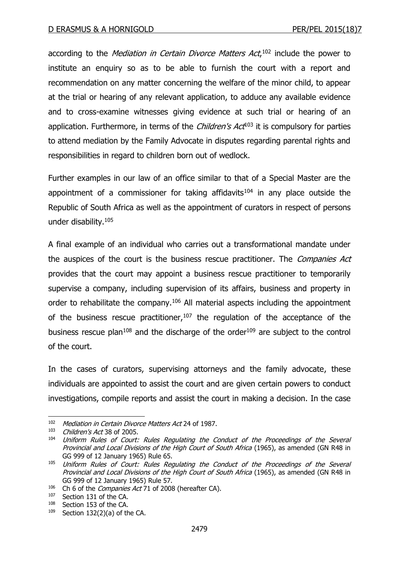according to the *Mediation in Certain Divorce Matters Act*,<sup>102</sup> include the power to institute an enquiry so as to be able to furnish the court with a report and recommendation on any matter concerning the welfare of the minor child, to appear at the trial or hearing of any relevant application, to adduce any available evidence and to cross-examine witnesses giving evidence at such trial or hearing of an application. Furthermore, in terms of the *Children's Act*<sup>103</sup> it is compulsory for parties to attend mediation by the Family Advocate in disputes regarding parental rights and responsibilities in regard to children born out of wedlock.

Further examples in our law of an office similar to that of a Special Master are the appointment of a commissioner for taking affidavits<sup>104</sup> in any place outside the Republic of South Africa as well as the appointment of curators in respect of persons under disability.<sup>105</sup>

A final example of an individual who carries out a transformational mandate under the auspices of the court is the business rescue practitioner. The *Companies Act* provides that the court may appoint a business rescue practitioner to temporarily supervise a company, including supervision of its affairs, business and property in order to rehabilitate the company.<sup>106</sup> All material aspects including the appointment of the business rescue practitioner,  $107$  the regulation of the acceptance of the business rescue plan<sup>108</sup> and the discharge of the order<sup>109</sup> are subject to the control of the court.

In the cases of curators, supervising attorneys and the family advocate, these individuals are appointed to assist the court and are given certain powers to conduct investigations, compile reports and assist the court in making a decision. In the case

<sup>&</sup>lt;sup>102</sup> Mediation in Certain Divorce Matters Act 24 of 1987.

<sup>103</sup> *Children's Act* 38 of 2005.

<sup>&</sup>lt;sup>104</sup> Uniform Rules of Court: Rules Regulating the Conduct of the Proceedings of the Several Provincial and Local Divisions of the High Court of South Africa (1965), as amended (GN R48 in GG 999 of 12 January 1965) Rule 65.

<sup>&</sup>lt;sup>105</sup> Uniform Rules of Court: Rules Regulating the Conduct of the Proceedings of the Several Provincial and Local Divisions of the High Court of South Africa (1965), as amended (GN R48 in GG 999 of 12 January 1965) Rule 57.

 $106$  Ch 6 of the *Companies Act* 71 of 2008 (hereafter CA).

<sup>&</sup>lt;sup>107</sup> Section 131 of the CA.<br><sup>108</sup> Section 153 of the CA

Section 153 of the CA.

 $109$  Section 132(2)(a) of the CA.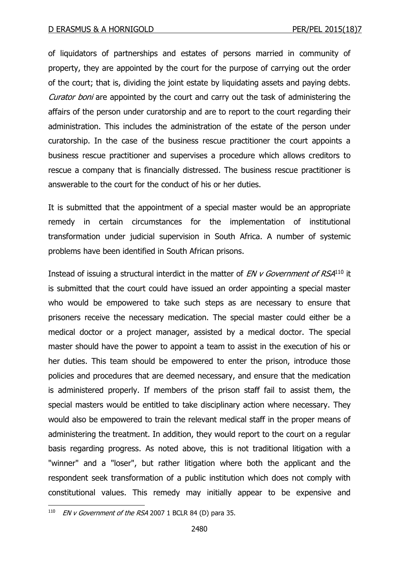of liquidators of partnerships and estates of persons married in community of property, they are appointed by the court for the purpose of carrying out the order of the court; that is, dividing the joint estate by liquidating assets and paying debts. Curator boni are appointed by the court and carry out the task of administering the affairs of the person under curatorship and are to report to the court regarding their administration. This includes the administration of the estate of the person under curatorship. In the case of the business rescue practitioner the court appoints a business rescue practitioner and supervises a procedure which allows creditors to rescue a company that is financially distressed. The business rescue practitioner is answerable to the court for the conduct of his or her duties.

It is submitted that the appointment of a special master would be an appropriate remedy in certain circumstances for the implementation of institutional transformation under judicial supervision in South Africa. A number of systemic problems have been identified in South African prisons.

Instead of issuing a structural interdict in the matter of  $EN$  v Government of  $RSA^{110}$  it is submitted that the court could have issued an order appointing a special master who would be empowered to take such steps as are necessary to ensure that prisoners receive the necessary medication. The special master could either be a medical doctor or a project manager, assisted by a medical doctor. The special master should have the power to appoint a team to assist in the execution of his or her duties. This team should be empowered to enter the prison, introduce those policies and procedures that are deemed necessary, and ensure that the medication is administered properly. If members of the prison staff fail to assist them, the special masters would be entitled to take disciplinary action where necessary. They would also be empowered to train the relevant medical staff in the proper means of administering the treatment. In addition, they would report to the court on a regular basis regarding progress. As noted above, this is not traditional litigation with a "winner" and a "loser", but rather litigation where both the applicant and the respondent seek transformation of a public institution which does not comply with constitutional values. This remedy may initially appear to be expensive and

 $110$  *EN v Government of the RSA* 2007 1 BCLR 84 (D) para 35.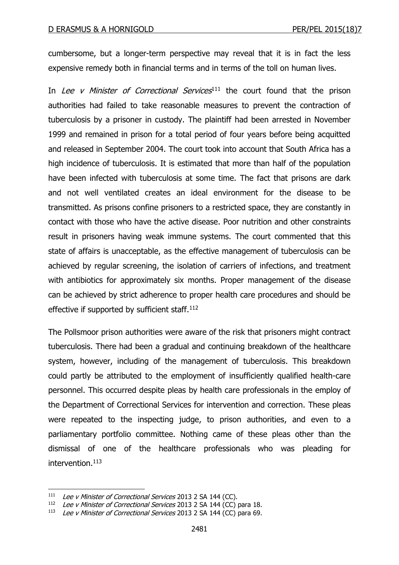cumbersome, but a longer-term perspective may reveal that it is in fact the less expensive remedy both in financial terms and in terms of the toll on human lives.

In Lee v Minister of Correctional Services<sup>111</sup> the court found that the prison authorities had failed to take reasonable measures to prevent the contraction of tuberculosis by a prisoner in custody. The plaintiff had been arrested in November 1999 and remained in prison for a total period of four years before being acquitted and released in September 2004. The court took into account that South Africa has a high incidence of tuberculosis. It is estimated that more than half of the population have been infected with tuberculosis at some time. The fact that prisons are dark and not well ventilated creates an ideal environment for the disease to be transmitted. As prisons confine prisoners to a restricted space, they are constantly in contact with those who have the active disease. Poor nutrition and other constraints result in prisoners having weak immune systems. The court commented that this state of affairs is unacceptable, as the effective management of tuberculosis can be achieved by regular screening, the isolation of carriers of infections, and treatment with antibiotics for approximately six months. Proper management of the disease can be achieved by strict adherence to proper health care procedures and should be effective if supported by sufficient staff.<sup>112</sup>

The Pollsmoor prison authorities were aware of the risk that prisoners might contract tuberculosis. There had been a gradual and continuing breakdown of the healthcare system, however, including of the management of tuberculosis. This breakdown could partly be attributed to the employment of insufficiently qualified health-care personnel. This occurred despite pleas by health care professionals in the employ of the Department of Correctional Services for intervention and correction. These pleas were repeated to the inspecting judge, to prison authorities, and even to a parliamentary portfolio committee. Nothing came of these pleas other than the dismissal of one of the healthcare professionals who was pleading for intervention. $113$ 

<sup>111</sup> Lee v Minister of Correctional Services 2013 2 SA 144 (CC).

<sup>112</sup> Lee v Minister of Correctional Services 2013 2 SA 144 (CC) para 18.

<sup>&</sup>lt;sup>113</sup> Lee v Minister of Correctional Services 2013 2 SA 144 (CC) para 69.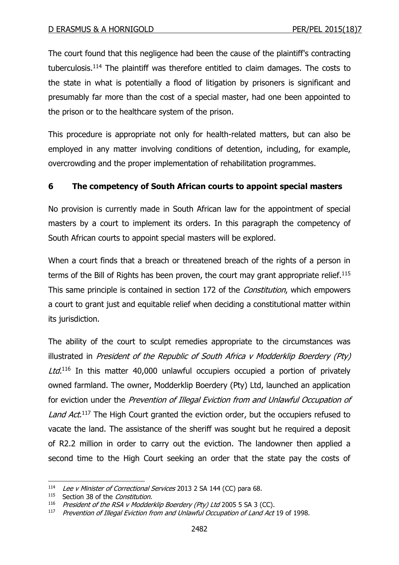The court found that this negligence had been the cause of the plaintiff's contracting tuberculosis.<sup>114</sup> The plaintiff was therefore entitled to claim damages. The costs to the state in what is potentially a flood of litigation by prisoners is significant and presumably far more than the cost of a special master, had one been appointed to the prison or to the healthcare system of the prison.

This procedure is appropriate not only for health-related matters, but can also be employed in any matter involving conditions of detention, including, for example, overcrowding and the proper implementation of rehabilitation programmes.

#### **6 The competency of South African courts to appoint special masters**

No provision is currently made in South African law for the appointment of special masters by a court to implement its orders. In this paragraph the competency of South African courts to appoint special masters will be explored.

When a court finds that a breach or threatened breach of the rights of a person in terms of the Bill of Rights has been proven, the court may grant appropriate relief. $115$ This same principle is contained in section 172 of the *Constitution*, which empowers a court to grant just and equitable relief when deciding a constitutional matter within its jurisdiction.

The ability of the court to sculpt remedies appropriate to the circumstances was illustrated in President of the Republic of South Africa  $v$  Modderklip Boerdery (Pty) Ltd.<sup>116</sup> In this matter 40,000 unlawful occupiers occupied a portion of privately owned farmland. The owner, Modderklip Boerdery (Pty) Ltd, launched an application for eviction under the Prevention of Illegal Eviction from and Unlawful Occupation of Land Act.<sup>117</sup> The High Court granted the eviction order, but the occupiers refused to vacate the land. The assistance of the sheriff was sought but he required a deposit of R2.2 million in order to carry out the eviction. The landowner then applied a second time to the High Court seeking an order that the state pay the costs of

<sup>&</sup>lt;sup>114</sup> Lee v Minister of Correctional Services 2013 2 SA 144 (CC) para 68.

<sup>&</sup>lt;sup>115</sup> Section 38 of the *Constitution*.<br><sup>116</sup> President of the PSA v Modder

President of the RSA v Modderklip Boerdery (Pty) Ltd 2005 5 SA 3 (CC).

<sup>&</sup>lt;sup>117</sup> Prevention of Illegal Eviction from and Unlawful Occupation of Land Act 19 of 1998.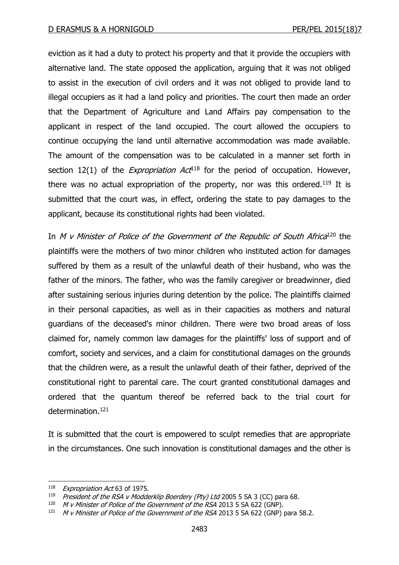eviction as it had a duty to protect his property and that it provide the occupiers with alternative land. The state opposed the application, arguing that it was not obliged to assist in the execution of civil orders and it was not obliged to provide land to illegal occupiers as it had a land policy and priorities. The court then made an order that the Department of Agriculture and Land Affairs pay compensation to the applicant in respect of the land occupied. The court allowed the occupiers to continue occupying the land until alternative accommodation was made available. The amount of the compensation was to be calculated in a manner set forth in section 12(1) of the *Expropriation Act*<sup>118</sup> for the period of occupation. However, there was no actual expropriation of the property, nor was this ordered.<sup>119</sup> It is submitted that the court was, in effect, ordering the state to pay damages to the applicant, because its constitutional rights had been violated.

In *M* v Minister of Police of the Government of the Republic of South Africa<sup>120</sup> the plaintiffs were the mothers of two minor children who instituted action for damages suffered by them as a result of the unlawful death of their husband, who was the father of the minors. The father, who was the family caregiver or breadwinner, died after sustaining serious injuries during detention by the police. The plaintiffs claimed in their personal capacities, as well as in their capacities as mothers and natural guardians of the deceased's minor children. There were two broad areas of loss claimed for, namely common law damages for the plaintiffs' loss of support and of comfort, society and services, and a claim for constitutional damages on the grounds that the children were, as a result the unlawful death of their father, deprived of the constitutional right to parental care. The court granted constitutional damages and ordered that the quantum thereof be referred back to the trial court for determination.<sup>121</sup>

It is submitted that the court is empowered to sculpt remedies that are appropriate in the circumstances. One such innovation is constitutional damages and the other is

<sup>&</sup>lt;sup>118</sup> Expropriation Act 63 of 1975.<br><sup>119</sup> President of the PSA v Modde

<sup>&</sup>lt;sup>119</sup> President of the RSA v Modderklip Boerdery (Pty) Ltd 2005 5 SA 3 (CC) para 68.<br><sup>120</sup> M v Minister of Police of the Government of the RSA 2013 5 SA 622 (GNP)

M v Minister of Police of the Government of the RSA 2013 5 SA 622 (GNP).

 $121$  M v Minister of Police of the Government of the RSA 2013 5 SA 622 (GNP) para 58.2.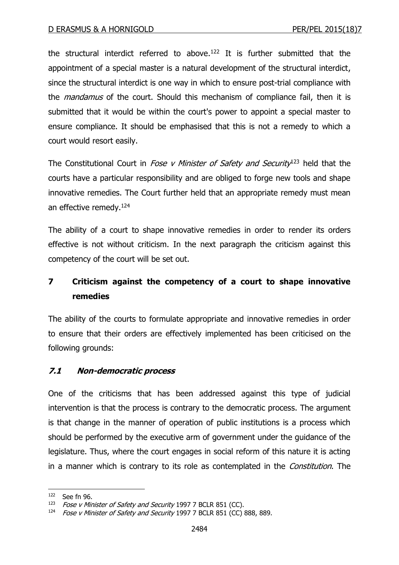the structural interdict referred to above.<sup>122</sup> It is further submitted that the appointment of a special master is a natural development of the structural interdict, since the structural interdict is one way in which to ensure post-trial compliance with the *mandamus* of the court. Should this mechanism of compliance fail, then it is submitted that it would be within the court's power to appoint a special master to ensure compliance. It should be emphasised that this is not a remedy to which a court would resort easily.

The Constitutional Court in *Fose v Minister of Safety and Security*<sup>123</sup> held that the courts have a particular responsibility and are obliged to forge new tools and shape innovative remedies. The Court further held that an appropriate remedy must mean an effective remedy.<sup>124</sup>

The ability of a court to shape innovative remedies in order to render its orders effective is not without criticism. In the next paragraph the criticism against this competency of the court will be set out.

# **7 Criticism against the competency of a court to shape innovative remedies**

The ability of the courts to formulate appropriate and innovative remedies in order to ensure that their orders are effectively implemented has been criticised on the following grounds:

### **7.1 Non-democratic process**

One of the criticisms that has been addressed against this type of judicial intervention is that the process is contrary to the democratic process. The argument is that change in the manner of operation of public institutions is a process which should be performed by the executive arm of government under the guidance of the legislature. Thus, where the court engages in social reform of this nature it is acting in a manner which is contrary to its role as contemplated in the *Constitution*. The

 $122$  See fn 96.

Fose v Minister of Safety and Security 1997 7 BCLR 851 (CC).

<sup>&</sup>lt;sup>124</sup> Fose v Minister of Safety and Security 1997 7 BCLR 851 (CC) 888, 889.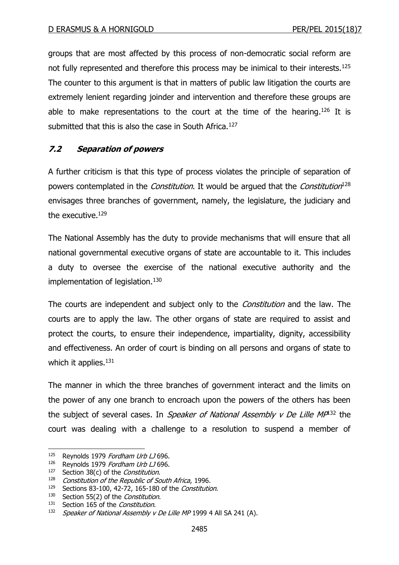groups that are most affected by this process of non-democratic social reform are not fully represented and therefore this process may be inimical to their interests.<sup>125</sup> The counter to this argument is that in matters of public law litigation the courts are extremely lenient regarding joinder and intervention and therefore these groups are able to make representations to the court at the time of the hearing.<sup>126</sup> It is submitted that this is also the case in South Africa.<sup>127</sup>

### **7.2 Separation of powers**

A further criticism is that this type of process violates the principle of separation of powers contemplated in the *Constitution*. It would be argued that the *Constitution*<sup>128</sup> envisages three branches of government, namely, the legislature, the judiciary and the executive.<sup>129</sup>

The National Assembly has the duty to provide mechanisms that will ensure that all national governmental executive organs of state are accountable to it. This includes a duty to oversee the exercise of the national executive authority and the implementation of legislation.<sup>130</sup>

The courts are independent and subject only to the *Constitution* and the law. The courts are to apply the law. The other organs of state are required to assist and protect the courts, to ensure their independence, impartiality, dignity, accessibility and effectiveness. An order of court is binding on all persons and organs of state to which it applies.<sup>131</sup>

The manner in which the three branches of government interact and the limits on the power of any one branch to encroach upon the powers of the others has been the subject of several cases. In *Speaker of National Assembly v De Lille MP*<sup>132</sup> the court was dealing with a challenge to a resolution to suspend a member of

<sup>&</sup>lt;sup>125</sup> Reynolds 1979 *Fordham Urb LJ* 696.<br><sup>126</sup> Reynolds 1979 *Fordham Urb L1* 696

<sup>&</sup>lt;sup>126</sup> Reynolds 1979 *Fordham Urb LJ* 696.<br><sup>127</sup> Section 38(c) of the *Constitution* 

<sup>&</sup>lt;sup>127</sup> Section 38(c) of the *Constitution*.

<sup>&</sup>lt;sup>128</sup> Constitution of the Republic of South Africa, 1996.<br><sup>129</sup> Sections 83-100, 42-72, 165-180 of the *Constitution* 

<sup>&</sup>lt;sup>129</sup> Sections 83-100, 42-72, 165-180 of the *Constitution*.

Section 55(2) of the Constitution.

<sup>&</sup>lt;sup>131</sup> Section 165 of the Constitution.

<sup>132</sup> Speaker of National Assembly v De Lille MP 1999 4 All SA 241 (A).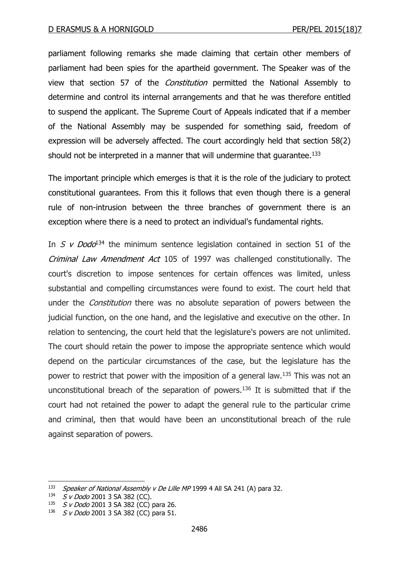parliament following remarks she made claiming that certain other members of parliament had been spies for the apartheid government. The Speaker was of the view that section 57 of the *Constitution* permitted the National Assembly to determine and control its internal arrangements and that he was therefore entitled to suspend the applicant. The Supreme Court of Appeals indicated that if a member of the National Assembly may be suspended for something said, freedom of expression will be adversely affected. The court accordingly held that section 58(2) should not be interpreted in a manner that will undermine that guarantee.<sup>133</sup>

The important principle which emerges is that it is the role of the judiciary to protect constitutional guarantees. From this it follows that even though there is a general rule of non-intrusion between the three branches of government there is an exception where there is a need to protect an individual's fundamental rights.

In  $S$  v Dodo<sup>134</sup> the minimum sentence legislation contained in section 51 of the Criminal Law Amendment Act 105 of 1997 was challenged constitutionally. The court's discretion to impose sentences for certain offences was limited, unless substantial and compelling circumstances were found to exist. The court held that under the *Constitution* there was no absolute separation of powers between the judicial function, on the one hand, and the legislative and executive on the other. In relation to sentencing, the court held that the legislature's powers are not unlimited. The court should retain the power to impose the appropriate sentence which would depend on the particular circumstances of the case, but the legislature has the power to restrict that power with the imposition of a general law.<sup>135</sup> This was not an unconstitutional breach of the separation of powers.<sup>136</sup> It is submitted that if the court had not retained the power to adapt the general rule to the particular crime and criminal, then that would have been an unconstitutional breach of the rule against separation of powers.

<sup>133</sup> Speaker of National Assembly v De Lille MP 1999 4 All SA 241 (A) para 32.<br>134 S.v. Dodo 2001 3 SA 382 (CC)

 $134$  S v Dodo 2001 3 SA 382 (CC).<br> $135$  S v Dodo 2001 3 SA 382 (CC)

S v Dodo 2001 3 SA 382 (CC) para 26.

 $136$  S v Dodo 2001 3 SA 382 (CC) para 51.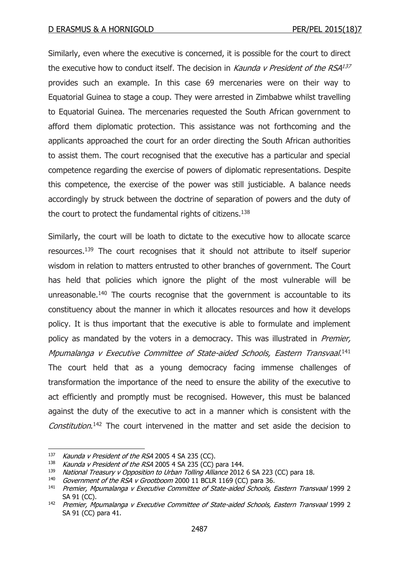Similarly, even where the executive is concerned, it is possible for the court to direct the executive how to conduct itself. The decision in *Kaunda v President of the RSA<sup>137</sup>* provides such an example. In this case 69 mercenaries were on their way to Equatorial Guinea to stage a coup. They were arrested in Zimbabwe whilst travelling to Equatorial Guinea. The mercenaries requested the South African government to afford them diplomatic protection. This assistance was not forthcoming and the applicants approached the court for an order directing the South African authorities to assist them. The court recognised that the executive has a particular and special competence regarding the exercise of powers of diplomatic representations. Despite this competence, the exercise of the power was still justiciable. A balance needs accordingly by struck between the doctrine of separation of powers and the duty of the court to protect the fundamental rights of citizens.<sup>138</sup>

Similarly, the court will be loath to dictate to the executive how to allocate scarce resources.<sup>139</sup> The court recognises that it should not attribute to itself superior wisdom in relation to matters entrusted to other branches of government. The Court has held that policies which ignore the plight of the most vulnerable will be unreasonable.<sup>140</sup> The courts recognise that the government is accountable to its constituency about the manner in which it allocates resources and how it develops policy. It is thus important that the executive is able to formulate and implement policy as mandated by the voters in a democracy. This was illustrated in *Premier*, Mpumalanga v Executive Committee of State-aided Schools, Eastern Transvaal. 141 The court held that as a young democracy facing immense challenges of transformation the importance of the need to ensure the ability of the executive to act efficiently and promptly must be recognised. However, this must be balanced against the duty of the executive to act in a manner which is consistent with the Constitution.<sup>142</sup> The court intervened in the matter and set aside the decision to

<sup>&</sup>lt;sup>137</sup> Kaunda v President of the RSA 2005 4 SA 235 (CC).<br><sup>138</sup> Kaunda v President of the RSA 2005 4 SA 235 (CC)

<sup>&</sup>lt;sup>138</sup> *Kaunda v President of the RSA* 2005 4 SA 235 (CC) para 144.<br><sup>139</sup> *Mational Treasury v Opposition to Urban Tolling Alliance* 2012.

<sup>&</sup>lt;sup>139</sup> National Treasury v Opposition to Urban Tolling Alliance 2012 6 SA 223 (CC) para 18.<br><sup>140</sup> Covernment of the RSA v Creatheam 2000 11 BCLB 1160 (CC) para 26

<sup>&</sup>lt;sup>140</sup> Government of the RSA v Grootboom 2000 11 BCLR 1169 (CC) para 36.<br><sup>141</sup> Premier, Mnumalanga v Executive Committee of State-aided Schools, P

<sup>141</sup> Premier, Mpumalanga v Executive Committee of State-aided Schools, Eastern Transvaal 1999 2 SA 91 (CC).

<sup>&</sup>lt;sup>142</sup> Premier, Mpumalanga v Executive Committee of State-aided Schools, Eastern Transvaal 1999 2 SA 91 (CC) para 41.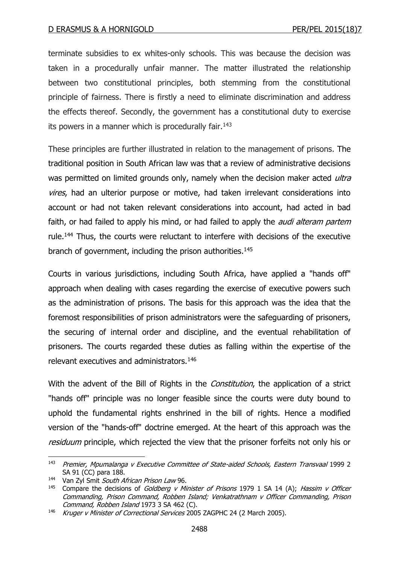terminate subsidies to ex whites-only schools. This was because the decision was taken in a procedurally unfair manner. The matter illustrated the relationship between two constitutional principles, both stemming from the constitutional principle of fairness. There is firstly a need to eliminate discrimination and address the effects thereof. Secondly, the government has a constitutional duty to exercise its powers in a manner which is procedurally fair.  $143$ 

These principles are further illustrated in relation to the management of prisons. The traditional position in South African law was that a review of administrative decisions was permitted on limited grounds only, namely when the decision maker acted *ultra* vires, had an ulterior purpose or motive, had taken irrelevant considerations into account or had not taken relevant considerations into account, had acted in bad faith, or had failed to apply his mind, or had failed to apply the *audi alteram partem* rule.<sup>144</sup> Thus, the courts were reluctant to interfere with decisions of the executive branch of government, including the prison authorities.<sup>145</sup>

Courts in various jurisdictions, including South Africa, have applied a "hands off" approach when dealing with cases regarding the exercise of executive powers such as the administration of prisons. The basis for this approach was the idea that the foremost responsibilities of prison administrators were the safeguarding of prisoners, the securing of internal order and discipline, and the eventual rehabilitation of prisoners. The courts regarded these duties as falling within the expertise of the relevant executives and administrators.<sup>146</sup>

With the advent of the Bill of Rights in the *Constitution*, the application of a strict "hands off" principle was no longer feasible since the courts were duty bound to uphold the fundamental rights enshrined in the bill of rights. Hence a modified version of the "hands-off" doctrine emerged. At the heart of this approach was the residuum principle, which rejected the view that the prisoner forfeits not only his or

<sup>&</sup>lt;sup>143</sup> Premier, Mpumalanga v Executive Committee of State-aided Schools, Eastern Transvaal 1999 2 SA 91 (CC) para 188.

<sup>144</sup> Van Zyl Smit South African Prison Law 96.

<sup>&</sup>lt;sup>145</sup> Compare the decisions of *Goldberg v Minister of Prisons* 1979 1 SA 14 (A); Hassim v Officer Commanding, Prison Command, Robben Island; Venkatrathnam v Officer Commanding, Prison Command, Robben Island 1973 3 SA 462 (C).

<sup>&</sup>lt;sup>146</sup> Kruger v Minister of Correctional Services 2005 ZAGPHC 24 (2 March 2005).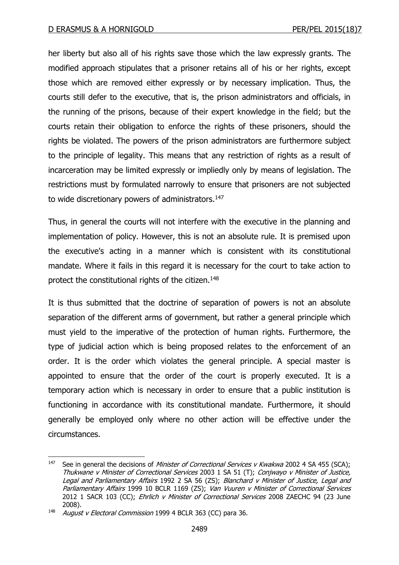her liberty but also all of his rights save those which the law expressly grants. The modified approach stipulates that a prisoner retains all of his or her rights, except those which are removed either expressly or by necessary implication. Thus, the courts still defer to the executive, that is, the prison administrators and officials, in the running of the prisons, because of their expert knowledge in the field; but the courts retain their obligation to enforce the rights of these prisoners, should the rights be violated. The powers of the prison administrators are furthermore subject to the principle of legality. This means that any restriction of rights as a result of incarceration may be limited expressly or impliedly only by means of legislation. The restrictions must by formulated narrowly to ensure that prisoners are not subjected to wide discretionary powers of administrators.<sup>147</sup>

Thus, in general the courts will not interfere with the executive in the planning and implementation of policy. However, this is not an absolute rule. It is premised upon the executive's acting in a manner which is consistent with its constitutional mandate. Where it fails in this regard it is necessary for the court to take action to protect the constitutional rights of the citizen.<sup>148</sup>

It is thus submitted that the doctrine of separation of powers is not an absolute separation of the different arms of government, but rather a general principle which must yield to the imperative of the protection of human rights. Furthermore, the type of judicial action which is being proposed relates to the enforcement of an order. It is the order which violates the general principle. A special master is appointed to ensure that the order of the court is properly executed. It is a temporary action which is necessary in order to ensure that a public institution is functioning in accordance with its constitutional mandate. Furthermore, it should generally be employed only where no other action will be effective under the circumstances.

<sup>&</sup>lt;sup>147</sup> See in general the decisions of *Minister of Correctional Services v Kwakwa* 2002 4 SA 455 (SCA); Thukwane v Minister of Correctional Services 2003 1 SA 51 (T); Conjwayo v Minister of Justice, Legal and Parliamentary Affairs 1992 2 SA 56 (ZS); Blanchard v Minister of Justice, Legal and Parliamentary Affairs 1999 10 BCLR 1169 (ZS); Van Vuuren v Minister of Correctional Services 2012 1 SACR 103 (CC); Ehrlich v Minister of Correctional Services 2008 ZAECHC 94 (23 June 2008).

<sup>148</sup> August v Electoral Commission 1999 4 BCLR 363 (CC) para 36.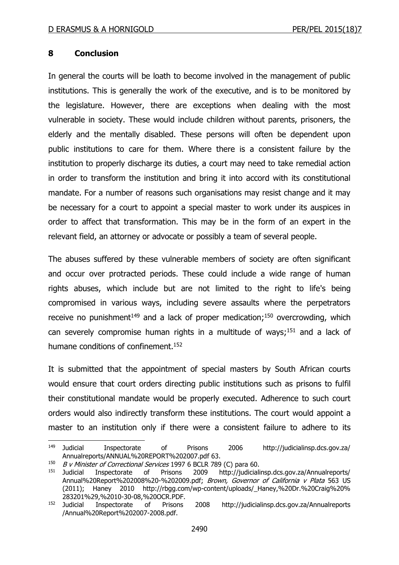#### **8 Conclusion**

In general the courts will be loath to become involved in the management of public institutions. This is generally the work of the executive, and is to be monitored by the legislature. However, there are exceptions when dealing with the most vulnerable in society. These would include children without parents, prisoners, the elderly and the mentally disabled. These persons will often be dependent upon public institutions to care for them. Where there is a consistent failure by the institution to properly discharge its duties, a court may need to take remedial action in order to transform the institution and bring it into accord with its constitutional mandate. For a number of reasons such organisations may resist change and it may be necessary for a court to appoint a special master to work under its auspices in order to affect that transformation. This may be in the form of an expert in the relevant field, an attorney or advocate or possibly a team of several people.

The abuses suffered by these vulnerable members of society are often significant and occur over protracted periods. These could include a wide range of human rights abuses, which include but are not limited to the right to life's being compromised in various ways, including severe assaults where the perpetrators receive no punishment<sup>149</sup> and a lack of proper medication;<sup>150</sup> overcrowding, which can severely compromise human rights in a multitude of ways; <sup>151</sup> and a lack of humane conditions of confinement.<sup>152</sup>

It is submitted that the appointment of special masters by South African courts would ensure that court orders directing public institutions such as prisons to fulfil their constitutional mandate would be properly executed. Adherence to such court orders would also indirectly transform these institutions. The court would appoint a master to an institution only if there were a consistent failure to adhere to its

<sup>1</sup> <sup>149</sup> Judicial Inspectorate of Prisons 2006 http://judicialinsp.dcs.gov.za/ Annualreports/ANNUAL%20REPORT%202007.pdf 63.

<sup>&</sup>lt;sup>150</sup> B v Minister of Correctional Services 1997 6 BCLR 789 (C) para 60.<br><sup>151</sup> Judicial Inspectorate of Prisons 2009 http://judiciali

<sup>151</sup> Judicial Inspectorate of Prisons 2009 http://judicialinsp.dcs.gov.za/Annualreports/ Annual%20Report%202008%20-%202009.pdf; Brown, Governor of California v Plata 563 US (2011); Haney 2010 http://rbgg.com/wp-content/uploads/\_Haney,%20Dr.%20Craig%20% 283201%29,%2010-30-08,%20OCR.PDF.

 $152$  Judicial Inspectorate of Prisons 2008 http://judicialinsp.dcs.gov.za/Annualreports /Annual%20Report%202007-2008.pdf.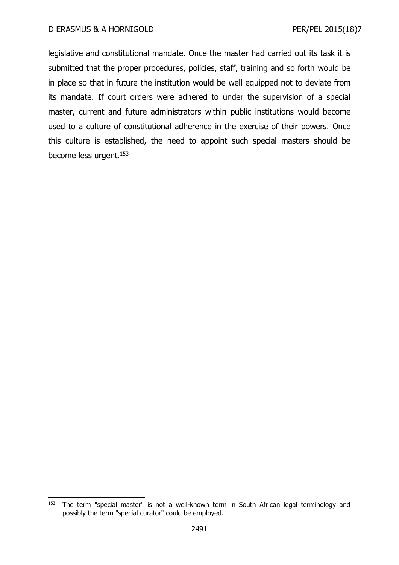legislative and constitutional mandate. Once the master had carried out its task it is submitted that the proper procedures, policies, staff, training and so forth would be in place so that in future the institution would be well equipped not to deviate from its mandate. If court orders were adhered to under the supervision of a special master, current and future administrators within public institutions would become used to a culture of constitutional adherence in the exercise of their powers. Once this culture is established, the need to appoint such special masters should be become less urgent.<sup>153</sup>

<sup>1</sup> <sup>153</sup> The term "special master" is not a well-known term in South African legal terminology and possibly the term "special curator" could be employed.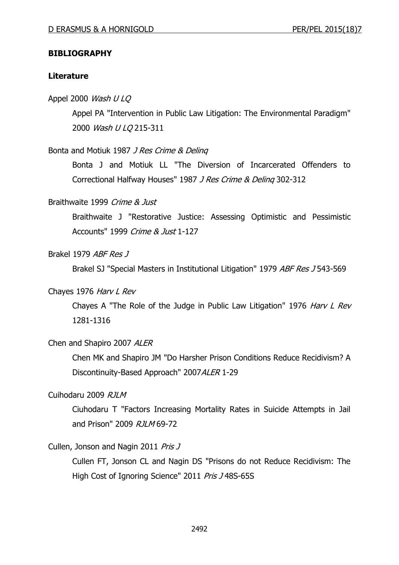#### **BIBLIOGRAPHY**

#### **Literature**

Appel 2000 Wash U LQ

Appel PA "Intervention in Public Law Litigation: The Environmental Paradigm" 2000 Wash U LQ 215-311

#### Bonta and Motiuk 1987 J Res Crime & Delinq

Bonta J and Motiuk LL "The Diversion of Incarcerated Offenders to Correctional Halfway Houses" 1987 J Res Crime & Delinq 302-312

#### Braithwaite 1999 Crime & Just

Braithwaite J "Restorative Justice: Assessing Optimistic and Pessimistic Accounts" 1999 Crime & Just 1-127

#### Brakel 1979 ABF Res J

Brakel SJ "Special Masters in Institutional Litigation" 1979 ABF Res J 543-569

#### Chayes 1976 Harv L Rev

Chayes A "The Role of the Judge in Public Law Litigation" 1976 Harv L Rev 1281-1316

#### Chen and Shapiro 2007 ALER

Chen MK and Shapiro JM "Do Harsher Prison Conditions Reduce Recidivism? A Discontinuity-Based Approach" 2007ALER 1-29

#### Cuihodaru 2009 RJLM

Ciuhodaru T "Factors Increasing Mortality Rates in Suicide Attempts in Jail and Prison" 2009 RJLM 69-72

#### Cullen, Jonson and Nagin 2011 Pris J

Cullen FT, Jonson CL and Nagin DS "Prisons do not Reduce Recidivism: The High Cost of Ignoring Science" 2011 Pris J48S-65S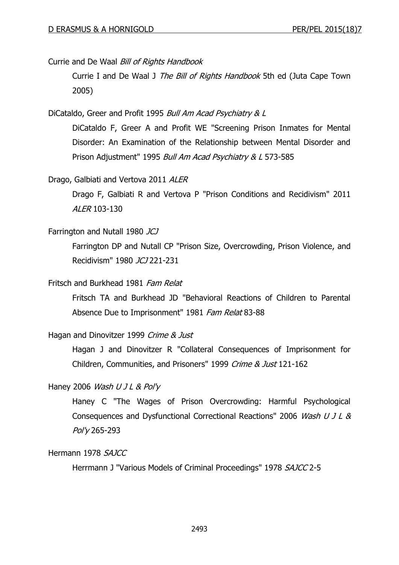#### Currie and De Waal Bill of Rights Handbook

Currie I and De Waal J The Bill of Rights Handbook 5th ed (Juta Cape Town 2005)

#### DiCataldo, Greer and Profit 1995 Bull Am Acad Psychiatry & L

DiCataldo F, Greer A and Profit WE "Screening Prison Inmates for Mental Disorder: An Examination of the Relationship between Mental Disorder and Prison Adjustment" 1995 Bull Am Acad Psychiatry & L 573-585

#### Drago, Galbiati and Vertova 2011 ALER

Drago F, Galbiati R and Vertova P "Prison Conditions and Recidivism" 2011 ALER 103-130

#### Farrington and Nutall 1980 JCJ

Farrington DP and Nutall CP "Prison Size, Overcrowding, Prison Violence, and Recidivism" 1980 JCJ 221-231

#### Fritsch and Burkhead 1981 Fam Relat

Fritsch TA and Burkhead JD "Behavioral Reactions of Children to Parental Absence Due to Imprisonment" 1981 Fam Relat 83-88

### Hagan and Dinovitzer 1999 Crime & Just

Hagan J and Dinovitzer R "Collateral Consequences of Imprisonment for Children, Communities, and Prisoners" 1999 Crime & Just 121-162

### Haney 2006 Wash  $UJL$  & Pol'y

Haney C "The Wages of Prison Overcrowding: Harmful Psychological Consequences and Dysfunctional Correctional Reactions" 2006 Wash U J L & Pol'y 265-293

#### Hermann 1978 SAJCC

Herrmann J "Various Models of Criminal Proceedings" 1978 SAJCC 2-5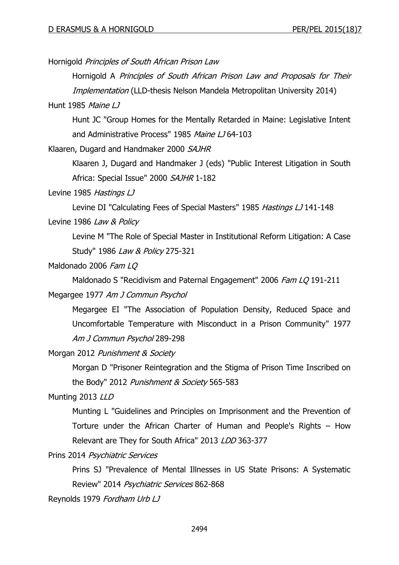Hornigold Principles of South African Prison Law

Hornigold A Principles of South African Prison Law and Proposals for Their Implementation (LLD-thesis Nelson Mandela Metropolitan University 2014)

Hunt 1985 Maine LJ

Hunt JC "Group Homes for the Mentally Retarded in Maine: Legislative Intent and Administrative Process" 1985 Maine LJ 64-103

Klaaren, Dugard and Handmaker 2000 SAJHR

Klaaren J, Dugard and Handmaker J (eds) "Public Interest Litigation in South Africa: Special Issue" 2000 SAJHR 1-182

Levine 1985 Hastings LJ

Levine DI "Calculating Fees of Special Masters" 1985 Hastings LJ 141-148 Levine 1986 Law & Policy

Levine M "The Role of Special Master in Institutional Reform Litigation: A Case Study" 1986 Law & Policy 275-321

Maldonado 2006 Fam LQ

Maldonado S "Recidivism and Paternal Engagement" 2006 Fam LO 191-211

Megargee 1977 Am J Commun Psychol

Megargee EI "The Association of Population Density, Reduced Space and Uncomfortable Temperature with Misconduct in a Prison Community" 1977 Am J Commun Psychol 289-298

Morgan 2012 Punishment & Society

Morgan D "Prisoner Reintegration and the Stigma of Prison Time Inscribed on the Body" 2012 Punishment & Society 565-583

Munting 2013 LLD

Munting L "Guidelines and Principles on Imprisonment and the Prevention of Torture under the African Charter of Human and People's Rights – How Relevant are They for South Africa" 2013 LDD 363-377

Prins 2014 Psychiatric Services

Prins SJ "Prevalence of Mental Illnesses in US State Prisons: A Systematic Review" 2014 Psychiatric Services 862-868

Reynolds 1979 Fordham Urb LJ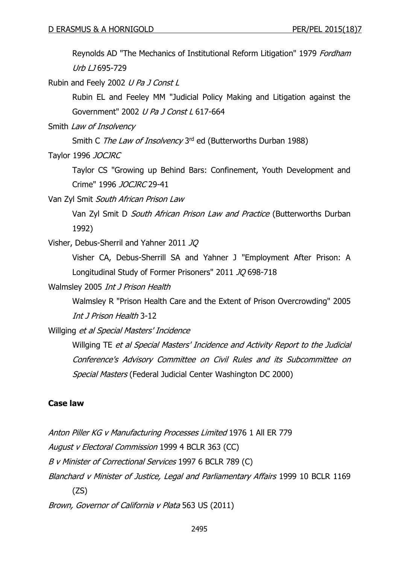Reynolds AD "The Mechanics of Institutional Reform Litigation" 1979 Fordham Urb LJ 695-729

Rubin and Feely 2002 U Pa J Const L

Rubin EL and Feeley MM "Judicial Policy Making and Litigation against the Government" 2002 U Pa J Const L 617-664

Smith Law of Insolvency

Smith C *The Law of Insolvency* 3<sup>rd</sup> ed (Butterworths Durban 1988)

Taylor 1996 JOCJRC

Taylor CS "Growing up Behind Bars: Confinement, Youth Development and Crime" 1996 JOCJRC 29-41

Van Zyl Smit South African Prison Law

Van Zyl Smit D South African Prison Law and Practice (Butterworths Durban 1992)

Visher, Debus-Sherril and Yahner 2011 JQ

Visher CA, Debus-Sherrill SA and Yahner J "Employment After Prison: A Longitudinal Study of Former Prisoners" 2011 JQ 698-718

Walmsley 2005 Int J Prison Health

Walmsley R "Prison Health Care and the Extent of Prison Overcrowding" 2005 Int J Prison Health 3-12

Willging et al Special Masters' Incidence

Willging TE et al Special Masters' Incidence and Activity Report to the Judicial Conference's Advisory Committee on Civil Rules and its Subcommittee on Special Masters (Federal Judicial Center Washington DC 2000)

#### **Case law**

Anton Piller KG v Manufacturing Processes Limited 1976 1 All ER 779 August v Electoral Commission 1999 4 BCLR 363 (CC) B v Minister of Correctional Services 1997 6 BCLR 789 (C) Blanchard v Minister of Justice, Legal and Parliamentary Affairs 1999 10 BCLR 1169 (ZS) Brown, Governor of California v Plata 563 US (2011)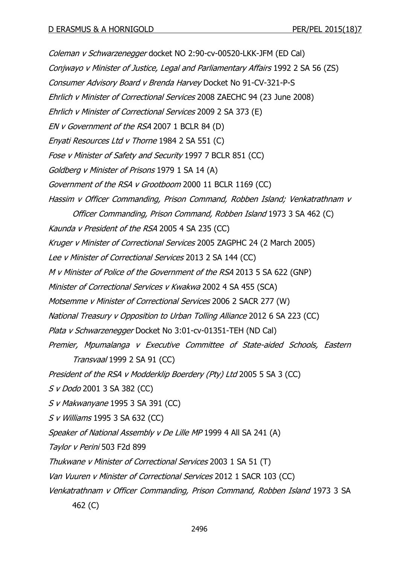Coleman v Schwarzenegger docket NO 2:90-cv-00520-LKK-JFM [\(ED Cal\)](https://en.wikipedia.org/wiki/United_States_District_Court_for_the_Eastern_District_of_California) Conjwayo v Minister of Justice, Legal and Parliamentary Affairs 1992 2 SA 56 (ZS) Consumer Advisory Board v Brenda Harvey Docket No 91-CV-321-P-S Ehrlich v Minister of Correctional Services 2008 ZAECHC 94 (23 June 2008) Ehrlich v Minister of Correctional Services 2009 2 SA 373 (E) EN v Government of the RSA 2007 1 BCLR 84 (D) Enyati Resources Ltd v Thorne 1984 2 SA 551 (C) Fose v Minister of Safety and Security 1997 7 BCLR 851 (CC) Goldberg v Minister of Prisons 1979 1 SA 14 (A) Government of the RSA v Grootboom 2000 11 BCLR 1169 (CC) Hassim v Officer Commanding, Prison Command, Robben Island; Venkatrathnam v Officer Commanding, Prison Command, Robben Island 1973 3 SA 462 (C) Kaunda v President of the RSA 2005 4 SA 235 (CC) Kruger v Minister of Correctional Services 2005 ZAGPHC 24 (2 March 2005) Lee v Minister of Correctional Services 2013 2 SA 144 (CC) M v Minister of Police of the Government of the RSA 2013 5 SA 622 (GNP) Minister of Correctional Services v Kwakwa 2002 4 SA 455 (SCA) Motsemme v Minister of Correctional Services 2006 2 SACR 277 (W) National Treasury v Opposition to Urban Tolling Alliance 2012 6 SA 223 (CC) Plata v Schwarzenegger Docket No 3:01-cv-01351-TEH (ND Cal) Premier, Mpumalanga v Executive Committee of State-aided Schools, Eastern Transvaal 1999 2 SA 91 (CC) President of the RSA v Modderklip Boerdery (Pty) Ltd 2005 5 SA 3 (CC) S v Dodo 2001 3 SA 382 (CC) S v Makwanyane 1995 3 SA 391 (CC) S v Williams 1995 3 SA 632 (CC) Speaker of National Assembly v De Lille MP 1999 4 All SA 241 (A) Taylor v Perini 503 F2d 899 Thukwane v Minister of Correctional Services 2003 1 SA 51 (T) Van Vuuren v Minister of Correctional Services 2012 1 SACR 103 (CC) Venkatrathnam v Officer Commanding, Prison Command, Robben Island 1973 3 SA 462 (C)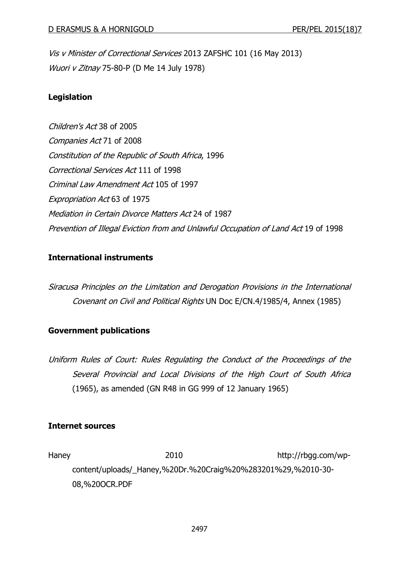Vis v Minister of Correctional Services 2013 ZAFSHC 101 (16 May 2013) Wuori v Zitnay 75-80-P (D Me 14 July 1978)

#### **Legislation**

Children's Act 38 of 2005 Companies Act 71 of 2008 Constitution of the Republic of South Africa, 1996 Correctional Services Act 111 of 1998 Criminal Law Amendment Act 105 of 1997 Expropriation Act 63 of 1975 Mediation in Certain Divorce Matters Act 24 of 1987 Prevention of Illegal Eviction from and Unlawful Occupation of Land Act 19 of 1998

#### **International instruments**

Siracusa Principles on the Limitation and Derogation Provisions in the International Covenant on Civil and Political Rights UN Doc E/CN.4/1985/4, Annex (1985)

#### **Government publications**

Uniform Rules of Court: Rules Regulating the Conduct of the Proceedings of the Several Provincial and Local Divisions of the High Court of South Africa (1965), as amended (GN R48 in GG 999 of 12 January 1965)

#### **Internet sources**

Haney 2010 **http://rbgg.com/wp**content/uploads/\_Haney,%20Dr.%20Craig%20%283201%29,%2010-30- 08,%20OCR.PDF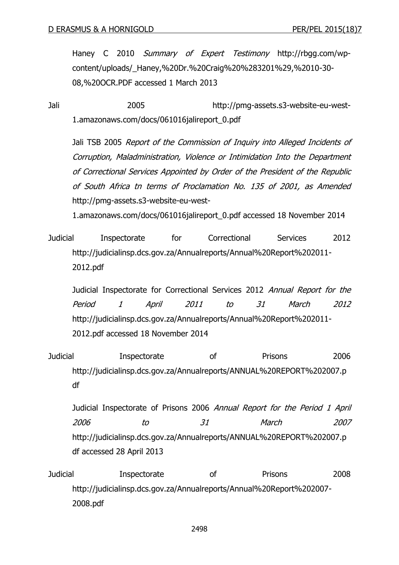Haney C 2010 Summary of Expert Testimony http://rbgg.com/wpcontent/uploads/\_Haney,%20Dr.%20Craig%20%283201%29,%2010-30- 08,%20OCR.PDF accessed 1 March 2013

Jali 2005 http://pmg-assets.s3-website-eu-west-1.amazonaws.com/docs/061016jalireport\_0.pdf

Jali TSB 2005 Report of the Commission of Inquiry into Alleged Incidents of Corruption, Maladministration, Violence or Intimidation Into the Department of Correctional Services Appointed by Order of the President of the Republic of South Africa tn terms of Proclamation No. 135 of 2001, as Amended http://pmg-assets.s3-website-eu-west-

1.amazonaws.com/docs/061016jalireport\_0.pdf accessed 18 November 2014

Judicial Inspectorate for Correctional Services 2012 http://judicialinsp.dcs.gov.za/Annualreports/Annual%20Report%202011- 2012.pdf

Judicial Inspectorate for Correctional Services 2012 Annual Report for the Period 1 April 2011 to 31 March 2012 http://judicialinsp.dcs.gov.za/Annualreports/Annual%20Report%202011- 2012.pdf accessed 18 November 2014

Judicial Inspectorate of Prisons 2006 http://judicialinsp.dcs.gov.za/Annualreports/ANNUAL%20REPORT%202007.p df

Judicial Inspectorate of Prisons 2006 Annual Report for the Period 1 April 2006 to 31 March 2007 http://judicialinsp.dcs.gov.za/Annualreports/ANNUAL%20REPORT%202007.p df accessed 28 April 2013

Judicial Inspectorate of Prisons 2008 http://judicialinsp.dcs.gov.za/Annualreports/Annual%20Report%202007- 2008.pdf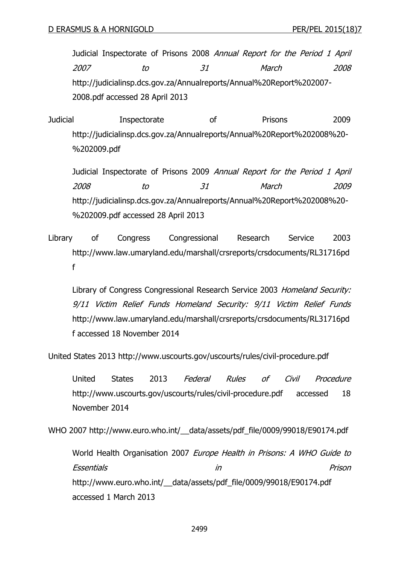Judicial Inspectorate of Prisons 2008 Annual Report for the Period 1 April 2007 to 31 March 2008 http://judicialinsp.dcs.gov.za/Annualreports/Annual%20Report%202007- 2008.pdf accessed 28 April 2013

Judicial Inspectorate of Prisons 2009 http://judicialinsp.dcs.gov.za/Annualreports/Annual%20Report%202008%20- %202009.pdf

Judicial Inspectorate of Prisons 2009 Annual Report for the Period 1 April 2008 to 31 March 2009 http://judicialinsp.dcs.gov.za/Annualreports/Annual%20Report%202008%20- %202009.pdf accessed 28 April 2013

Library of Congress Congressional Research Service 2003 http://www.law.umaryland.edu/marshall/crsreports/crsdocuments/RL31716pd f

Library of Congress Congressional Research Service 2003 Homeland Security: 9/11 Victim Relief Funds Homeland Security: 9/11 Victim Relief Funds http://www.law.umaryland.edu/marshall/crsreports/crsdocuments/RL31716pd f accessed 18 November 2014

United States 2013 http://www.uscourts.gov/uscourts/rules/civil-procedure.pdf

United States 2013 Federal Rules of Civil Procedure http://www.uscourts.gov/uscourts/rules/civil-procedure.pdf accessed 18 November 2014

WHO 2007 http://www.euro.who.int/\_\_data/assets/pdf\_file/0009/99018/E90174.pdf

World Health Organisation 2007 Europe Health in Prisons: A WHO Guide to Essentials in Prison http://www.euro.who.int/\_\_data/assets/pdf\_file/0009/99018/E90174.pdf accessed 1 March 2013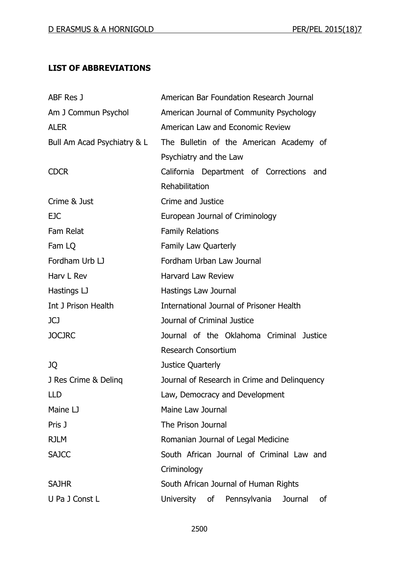## **LIST OF ABBREVIATIONS**

| ABF Res J                   | American Bar Foundation Research Journal          |
|-----------------------------|---------------------------------------------------|
| Am J Commun Psychol         | American Journal of Community Psychology          |
| <b>ALER</b>                 | American Law and Economic Review                  |
| Bull Am Acad Psychiatry & L | The Bulletin of the American Academy of           |
|                             | Psychiatry and the Law                            |
| <b>CDCR</b>                 | California Department of Corrections<br>and       |
|                             | Rehabilitation                                    |
| Crime & Just                | Crime and Justice                                 |
| <b>EJC</b>                  | European Journal of Criminology                   |
| Fam Relat                   | <b>Family Relations</b>                           |
| Fam LQ                      | Family Law Quarterly                              |
| Fordham Urb LJ              | Fordham Urban Law Journal                         |
| Harv L Rev                  | <b>Harvard Law Review</b>                         |
| Hastings LJ                 | Hastings Law Journal                              |
| Int J Prison Health         | International Journal of Prisoner Health          |
| JCJ                         | Journal of Criminal Justice                       |
| <b>JOCJRC</b>               | Journal of the Oklahoma Criminal Justice          |
|                             | Research Consortium                               |
| JQ                          | Justice Quarterly                                 |
| J Res Crime & Deling        | Journal of Research in Crime and Delinquency      |
| <b>LLD</b>                  | Law, Democracy and Development                    |
| Maine LJ                    | Maine Law Journal                                 |
| Pris J                      | The Prison Journal                                |
| <b>RJLM</b>                 | Romanian Journal of Legal Medicine                |
| <b>SAJCC</b>                | South African Journal of Criminal Law and         |
|                             | Criminology                                       |
| <b>SAJHR</b>                | South African Journal of Human Rights             |
| U Pa J Const L              | University<br>of<br>Pennsylvania<br>Journal<br>οf |